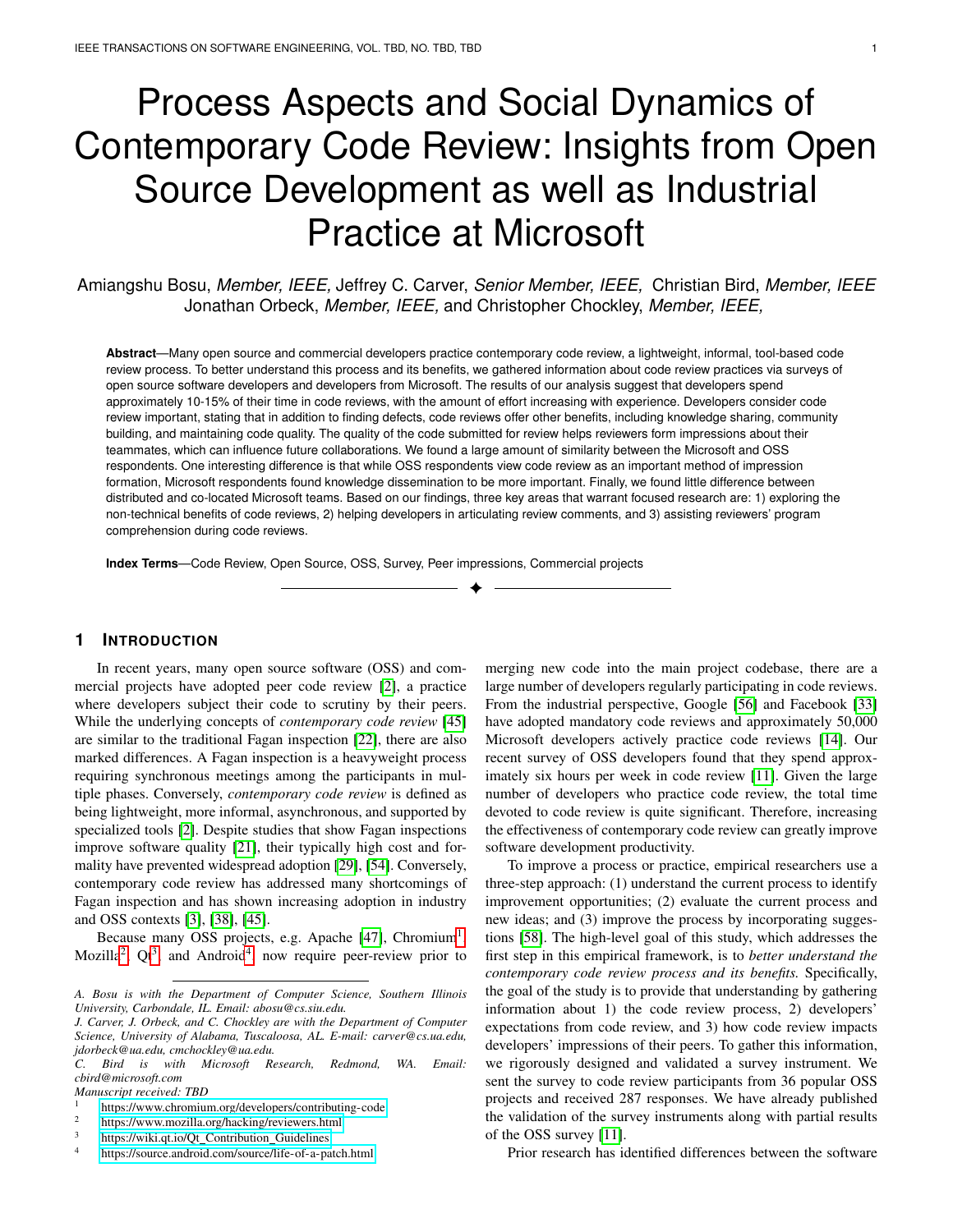# Process Aspects and Social Dynamics of Contemporary Code Review: Insights from Open Source Development as well as Industrial Practice at Microsoft

Amiangshu Bosu, *Member, IEEE,* Jeffrey C. Carver, *Senior Member, IEEE,* Christian Bird, *Member, IEEE* Jonathan Orbeck, *Member, IEEE,* and Christopher Chockley, *Member, IEEE,*

**Abstract**—Many open source and commercial developers practice contemporary code review, a lightweight, informal, tool-based code review process. To better understand this process and its benefits, we gathered information about code review practices via surveys of open source software developers and developers from Microsoft. The results of our analysis suggest that developers spend approximately 10-15% of their time in code reviews, with the amount of effort increasing with experience. Developers consider code review important, stating that in addition to finding defects, code reviews offer other benefits, including knowledge sharing, community building, and maintaining code quality. The quality of the code submitted for review helps reviewers form impressions about their teammates, which can influence future collaborations. We found a large amount of similarity between the Microsoft and OSS respondents. One interesting difference is that while OSS respondents view code review as an important method of impression formation, Microsoft respondents found knowledge dissemination to be more important. Finally, we found little difference between distributed and co-located Microsoft teams. Based on our findings, three key areas that warrant focused research are: 1) exploring the non-technical benefits of code reviews, 2) helping developers in articulating review comments, and 3) assisting reviewers' program comprehension during code reviews.

✦

**Index Terms**—Code Review, Open Source, OSS, Survey, Peer impressions, Commercial projects

## **1 INTRODUCTION**

In recent years, many open source software (OSS) and commercial projects have adopted peer code review [\[2\]](#page-16-0), a practice where developers subject their code to scrutiny by their peers. While the underlying concepts of *contemporary code review* [\[45\]](#page-17-0) are similar to the traditional Fagan inspection [\[22\]](#page-17-1), there are also marked differences. A Fagan inspection is a heavyweight process requiring synchronous meetings among the participants in multiple phases. Conversely, *contemporary code review* is defined as being lightweight, more informal, asynchronous, and supported by specialized tools [\[2\]](#page-16-0). Despite studies that show Fagan inspections improve software quality [\[21\]](#page-17-2), their typically high cost and formality have prevented widespread adoption [\[29\]](#page-17-3), [\[54\]](#page-17-4). Conversely, contemporary code review has addressed many shortcomings of Fagan inspection and has shown increasing adoption in industry and OSS contexts [\[3\]](#page-16-1), [\[38\]](#page-17-5), [\[45\]](#page-17-0).

Because many OSS projects, e.g. Apache [\[47\]](#page-17-6), Chromium<sup>[1](#page-0-0)</sup>, Mozilla<sup>[2](#page-0-1)</sup>,  $Qt^3$  $Qt^3$ , and Android<sup>[4](#page-0-3)</sup>, now require peer-review prior to

*Manuscript received: TBD*

merging new code into the main project codebase, there are a large number of developers regularly participating in code reviews. From the industrial perspective, Google [\[56\]](#page-17-7) and Facebook [\[33\]](#page-17-8) have adopted mandatory code reviews and approximately 50,000 Microsoft developers actively practice code reviews [\[14\]](#page-17-9). Our recent survey of OSS developers found that they spend approximately six hours per week in code review [\[11\]](#page-17-10). Given the large number of developers who practice code review, the total time devoted to code review is quite significant. Therefore, increasing the effectiveness of contemporary code review can greatly improve software development productivity.

To improve a process or practice, empirical researchers use a three-step approach: (1) understand the current process to identify improvement opportunities; (2) evaluate the current process and new ideas; and (3) improve the process by incorporating suggestions [\[58\]](#page-17-11). The high-level goal of this study, which addresses the first step in this empirical framework, is to *better understand the contemporary code review process and its benefits.* Specifically, the goal of the study is to provide that understanding by gathering information about 1) the code review process, 2) developers' expectations from code review, and 3) how code review impacts developers' impressions of their peers. To gather this information, we rigorously designed and validated a survey instrument. We sent the survey to code review participants from 36 popular OSS projects and received 287 responses. We have already published the validation of the survey instruments along with partial results of the OSS survey [\[11\]](#page-17-10).

Prior research has identified differences between the software

*A. Bosu is with the Department of Computer Science, Southern Illinois University, Carbondale, IL. Email: abosu@cs.siu.edu.*

*J. Carver, J. Orbeck, and C. Chockley are with the Department of Computer Science, University of Alabama, Tuscaloosa, AL. E-mail: carver@cs.ua.edu, jdorbeck@ua.edu, cmchockley@ua.edu.*

*C. Bird is with Microsoft Research, Redmond, WA. Email: cbird@microsoft.com*

<span id="page-0-0"></span><sup>&</sup>lt;sup>1</sup> <https://www.chromium.org/developers/contributing-code>

<span id="page-0-1"></span><sup>&</sup>lt;sup>2</sup> <https://www.mozilla.org/hacking/reviewers.html><br><sup>3</sup> https://wiki.gt.je/Ot.Contribution.Cyidalines

<span id="page-0-2"></span> $\frac{3}{4}$  [https://wiki.qt.io/Qt](https://wiki.qt.io/Qt_Contribution_Guidelines)\_Contribution\_Guidelines

<span id="page-0-3"></span><https://source.android.com/source/life-of-a-patch.html>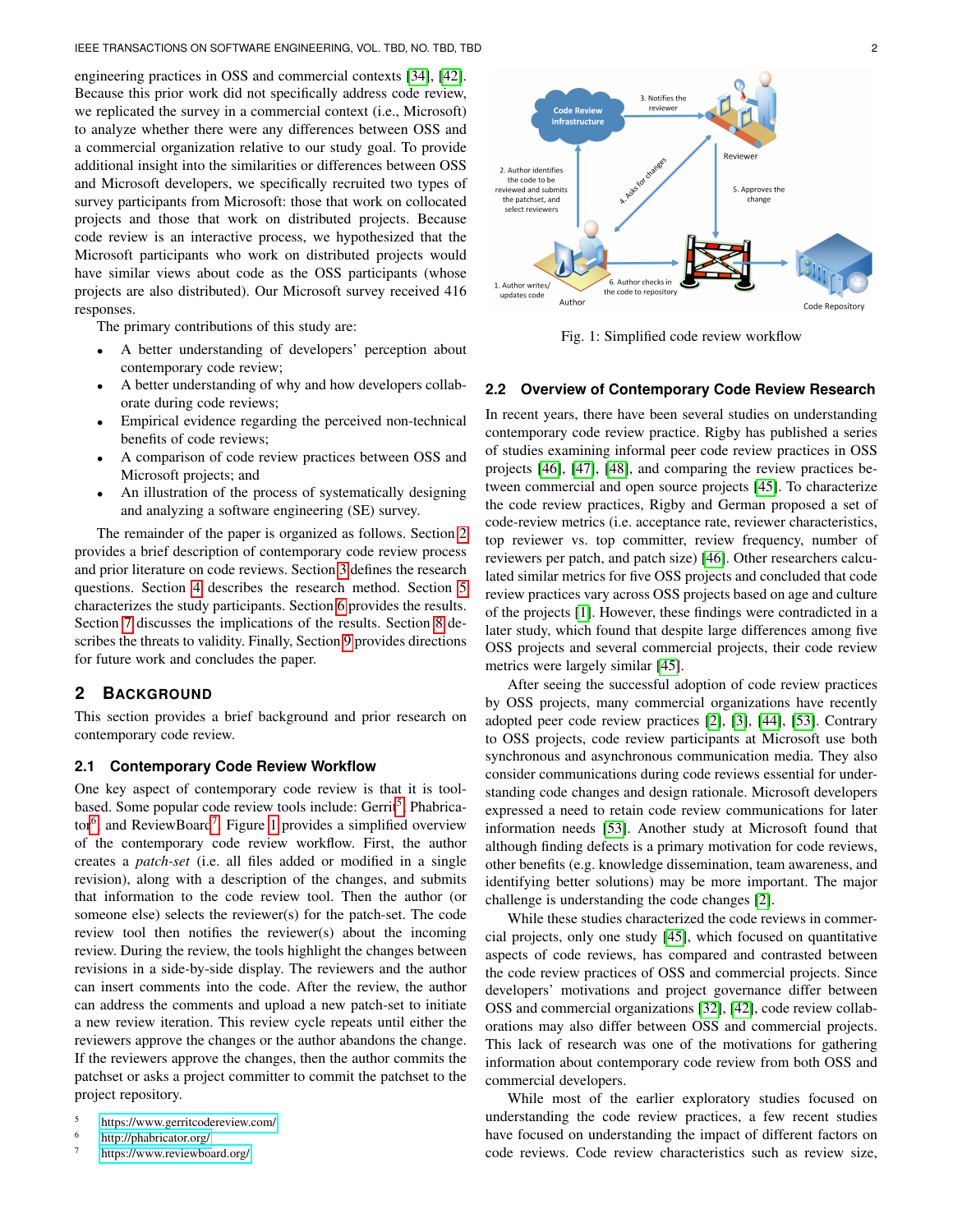engineering practices in OSS and commercial contexts [\[34\]](#page-17-12), [\[42\]](#page-17-13). Because this prior work did not specifically address code review, we replicated the survey in a commercial context (i.e., Microsoft) to analyze whether there were any differences between OSS and a commercial organization relative to our study goal. To provide additional insight into the similarities or differences between OSS and Microsoft developers, we specifically recruited two types of survey participants from Microsoft: those that work on collocated projects and those that work on distributed projects. Because code review is an interactive process, we hypothesized that the Microsoft participants who work on distributed projects would have similar views about code as the OSS participants (whose projects are also distributed). Our Microsoft survey received 416 responses.

The primary contributions of this study are:

- A better understanding of developers' perception about contemporary code review;
- A better understanding of why and how developers collaborate during code reviews;
- Empirical evidence regarding the perceived non-technical benefits of code reviews;
- A comparison of code review practices between OSS and Microsoft projects; and
- An illustration of the process of systematically designing and analyzing a software engineering (SE) survey.

The remainder of the paper is organized as follows. Section [2](#page-1-0) provides a brief description of contemporary code review process and prior literature on code reviews. Section [3](#page-2-0) defines the research questions. Section [4](#page-3-0) describes the research method. Section [5](#page-5-0) characterizes the study participants. Section [6](#page-6-0) provides the results. Section [7](#page-13-0) discusses the implications of the results. Section [8](#page-15-0) describes the threats to validity. Finally, Section [9](#page-16-2) provides directions for future work and concludes the paper.

## <span id="page-1-0"></span>**2 BACKGROUND**

This section provides a brief background and prior research on contemporary code review.

#### **2.1 Contemporary Code Review Workflow**

One key aspect of contemporary code review is that it is tool-based. Some popular code review tools include: Gerrit<sup>[5](#page-1-1)</sup>, Phabrica-tor<sup>[6](#page-1-2)</sup>, and ReviewBoard<sup>[7](#page-1-3)</sup>. Figure [1](#page-1-4) provides a simplified overview of the contemporary code review workflow. First, the author creates a *patch-set* (i.e. all files added or modified in a single revision), along with a description of the changes, and submits that information to the code review tool. Then the author (or someone else) selects the reviewer(s) for the patch-set. The code review tool then notifies the reviewer(s) about the incoming review. During the review, the tools highlight the changes between revisions in a side-by-side display. The reviewers and the author can insert comments into the code. After the review, the author can address the comments and upload a new patch-set to initiate a new review iteration. This review cycle repeats until either the reviewers approve the changes or the author abandons the change. If the reviewers approve the changes, then the author commits the patchset or asks a project committer to commit the patchset to the project repository.

<span id="page-1-1"></span>

<span id="page-1-2"></span><http://phabricator.org/>

<span id="page-1-4"></span>

Fig. 1: Simplified code review workflow

## **2.2 Overview of Contemporary Code Review Research**

In recent years, there have been several studies on understanding contemporary code review practice. Rigby has published a series of studies examining informal peer code review practices in OSS projects [\[46\]](#page-17-14), [\[47\]](#page-17-6), [\[48\]](#page-17-15), and comparing the review practices between commercial and open source projects [\[45\]](#page-17-0). To characterize the code review practices, Rigby and German proposed a set of code-review metrics (i.e. acceptance rate, reviewer characteristics, top reviewer vs. top committer, review frequency, number of reviewers per patch, and patch size) [\[46\]](#page-17-14). Other researchers calculated similar metrics for five OSS projects and concluded that code review practices vary across OSS projects based on age and culture of the projects [\[1\]](#page-16-3). However, these findings were contradicted in a later study, which found that despite large differences among five OSS projects and several commercial projects, their code review metrics were largely similar [\[45\]](#page-17-0).

After seeing the successful adoption of code review practices by OSS projects, many commercial organizations have recently adopted peer code review practices [\[2\]](#page-16-0), [\[3\]](#page-16-1), [\[44\]](#page-17-16), [\[53\]](#page-17-17). Contrary to OSS projects, code review participants at Microsoft use both synchronous and asynchronous communication media. They also consider communications during code reviews essential for understanding code changes and design rationale. Microsoft developers expressed a need to retain code review communications for later information needs [\[53\]](#page-17-17). Another study at Microsoft found that although finding defects is a primary motivation for code reviews, other benefits (e.g. knowledge dissemination, team awareness, and identifying better solutions) may be more important. The major challenge is understanding the code changes [\[2\]](#page-16-0).

While these studies characterized the code reviews in commercial projects, only one study [\[45\]](#page-17-0), which focused on quantitative aspects of code reviews, has compared and contrasted between the code review practices of OSS and commercial projects. Since developers' motivations and project governance differ between OSS and commercial organizations [\[32\]](#page-17-18), [\[42\]](#page-17-13), code review collaborations may also differ between OSS and commercial projects. This lack of research was one of the motivations for gathering information about contemporary code review from both OSS and commercial developers.

While most of the earlier exploratory studies focused on understanding the code review practices, a few recent studies have focused on understanding the impact of different factors on code reviews. Code review characteristics such as review size,

<span id="page-1-3"></span><https://www.reviewboard.org/>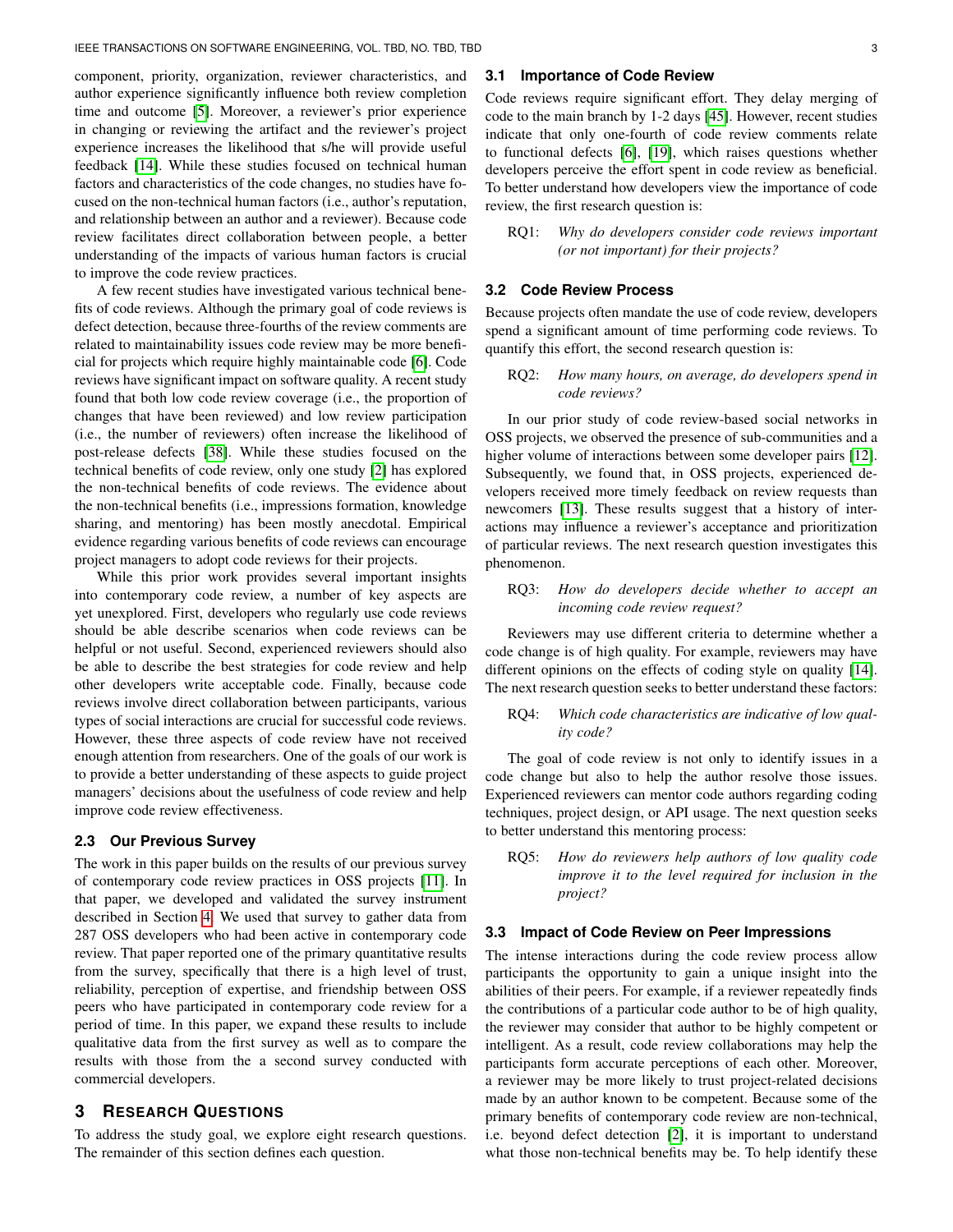component, priority, organization, reviewer characteristics, and author experience significantly influence both review completion time and outcome [\[5\]](#page-16-4). Moreover, a reviewer's prior experience in changing or reviewing the artifact and the reviewer's project experience increases the likelihood that s/he will provide useful feedback [\[14\]](#page-17-9). While these studies focused on technical human factors and characteristics of the code changes, no studies have focused on the non-technical human factors (i.e., author's reputation, and relationship between an author and a reviewer). Because code review facilitates direct collaboration between people, a better understanding of the impacts of various human factors is crucial to improve the code review practices.

A few recent studies have investigated various technical benefits of code reviews. Although the primary goal of code reviews is defect detection, because three-fourths of the review comments are related to maintainability issues code review may be more beneficial for projects which require highly maintainable code [\[6\]](#page-16-5). Code reviews have significant impact on software quality. A recent study found that both low code review coverage (i.e., the proportion of changes that have been reviewed) and low review participation (i.e., the number of reviewers) often increase the likelihood of post-release defects [\[38\]](#page-17-5). While these studies focused on the technical benefits of code review, only one study [\[2\]](#page-16-0) has explored the non-technical benefits of code reviews. The evidence about the non-technical benefits (i.e., impressions formation, knowledge sharing, and mentoring) has been mostly anecdotal. Empirical evidence regarding various benefits of code reviews can encourage project managers to adopt code reviews for their projects.

While this prior work provides several important insights into contemporary code review, a number of key aspects are yet unexplored. First, developers who regularly use code reviews should be able describe scenarios when code reviews can be helpful or not useful. Second, experienced reviewers should also be able to describe the best strategies for code review and help other developers write acceptable code. Finally, because code reviews involve direct collaboration between participants, various types of social interactions are crucial for successful code reviews. However, these three aspects of code review have not received enough attention from researchers. One of the goals of our work is to provide a better understanding of these aspects to guide project managers' decisions about the usefulness of code review and help improve code review effectiveness.

## **2.3 Our Previous Survey**

The work in this paper builds on the results of our previous survey of contemporary code review practices in OSS projects [\[11\]](#page-17-10). In that paper, we developed and validated the survey instrument described in Section [4.](#page-3-0) We used that survey to gather data from 287 OSS developers who had been active in contemporary code review. That paper reported one of the primary quantitative results from the survey, specifically that there is a high level of trust, reliability, perception of expertise, and friendship between OSS peers who have participated in contemporary code review for a period of time. In this paper, we expand these results to include qualitative data from the first survey as well as to compare the results with those from the a second survey conducted with commercial developers.

## <span id="page-2-0"></span>**3 RESEARCH QUESTIONS**

To address the study goal, we explore eight research questions. The remainder of this section defines each question.

#### **3.1 Importance of Code Review**

Code reviews require significant effort. They delay merging of code to the main branch by 1-2 days [\[45\]](#page-17-0). However, recent studies indicate that only one-fourth of code review comments relate to functional defects [\[6\]](#page-16-5), [\[19\]](#page-17-19), which raises questions whether developers perceive the effort spent in code review as beneficial. To better understand how developers view the importance of code review, the first research question is:

RQ1: *Why do developers consider code reviews important (or not important) for their projects?*

## **3.2 Code Review Process**

Because projects often mandate the use of code review, developers spend a significant amount of time performing code reviews. To quantify this effort, the second research question is:

RQ2: *How many hours, on average, do developers spend in code reviews?*

In our prior study of code review-based social networks in OSS projects, we observed the presence of sub-communities and a higher volume of interactions between some developer pairs [\[12\]](#page-17-20). Subsequently, we found that, in OSS projects, experienced developers received more timely feedback on review requests than newcomers [\[13\]](#page-17-21). These results suggest that a history of interactions may influence a reviewer's acceptance and prioritization of particular reviews. The next research question investigates this phenomenon.

## RQ3: *How do developers decide whether to accept an incoming code review request?*

Reviewers may use different criteria to determine whether a code change is of high quality. For example, reviewers may have different opinions on the effects of coding style on quality [\[14\]](#page-17-9). The next research question seeks to better understand these factors:

## RQ4: *Which code characteristics are indicative of low quality code?*

The goal of code review is not only to identify issues in a code change but also to help the author resolve those issues. Experienced reviewers can mentor code authors regarding coding techniques, project design, or API usage. The next question seeks to better understand this mentoring process:

RQ5: *How do reviewers help authors of low quality code improve it to the level required for inclusion in the project?*

#### **3.3 Impact of Code Review on Peer Impressions**

The intense interactions during the code review process allow participants the opportunity to gain a unique insight into the abilities of their peers. For example, if a reviewer repeatedly finds the contributions of a particular code author to be of high quality, the reviewer may consider that author to be highly competent or intelligent. As a result, code review collaborations may help the participants form accurate perceptions of each other. Moreover, a reviewer may be more likely to trust project-related decisions made by an author known to be competent. Because some of the primary benefits of contemporary code review are non-technical, i.e. beyond defect detection [\[2\]](#page-16-0), it is important to understand what those non-technical benefits may be. To help identify these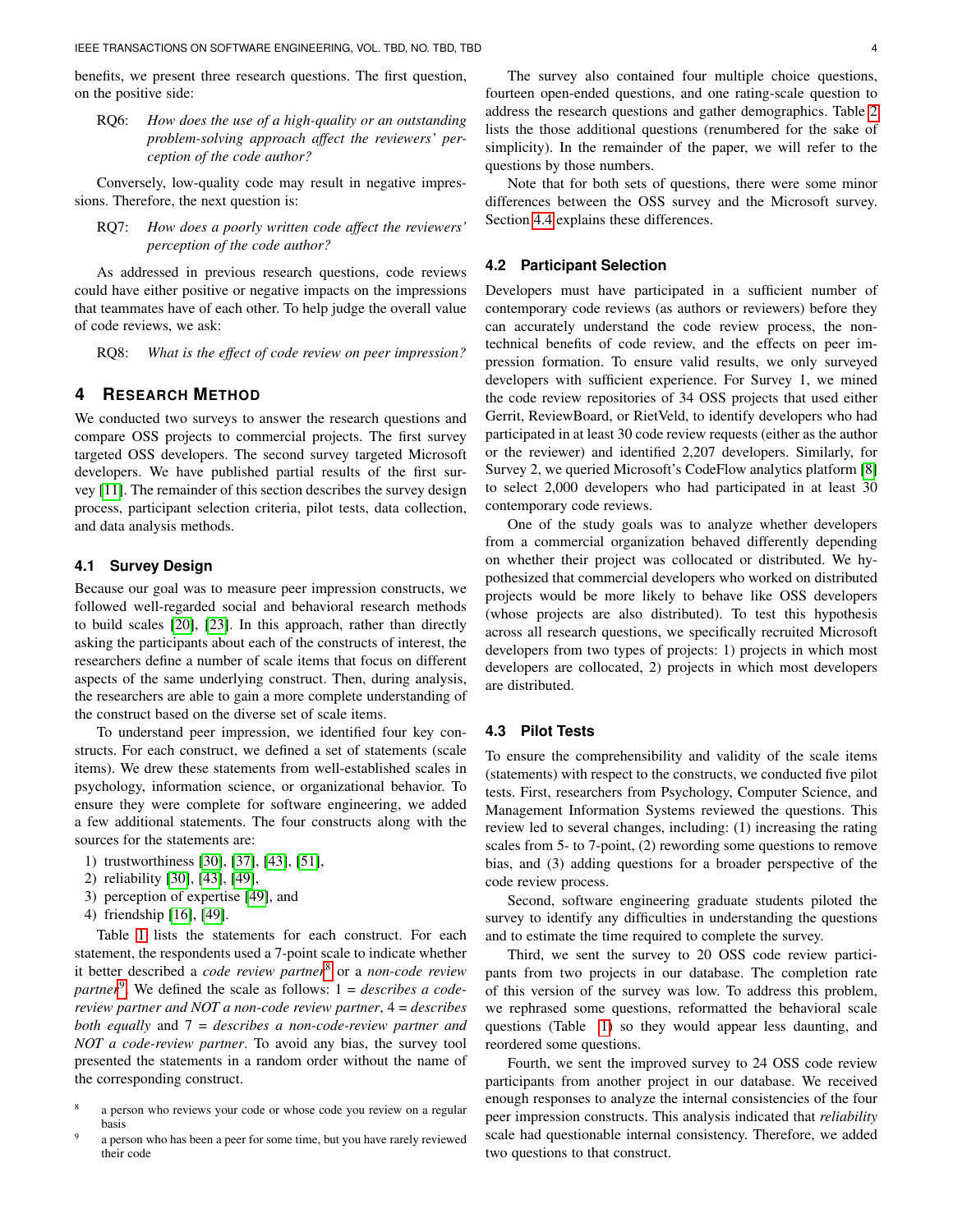benefits, we present three research questions. The first question, on the positive side:

RQ6: *How does the use of a high-quality or an outstanding problem-solving approach affect the reviewers' perception of the code author?*

Conversely, low-quality code may result in negative impressions. Therefore, the next question is:

RQ7: *How does a poorly written code affect the reviewers' perception of the code author?*

As addressed in previous research questions, code reviews could have either positive or negative impacts on the impressions that teammates have of each other. To help judge the overall value of code reviews, we ask:

RQ8: *What is the effect of code review on peer impression?*

# <span id="page-3-0"></span>**4 RESEARCH METHOD**

We conducted two surveys to answer the research questions and compare OSS projects to commercial projects. The first survey targeted OSS developers. The second survey targeted Microsoft developers. We have published partial results of the first survey [\[11\]](#page-17-10). The remainder of this section describes the survey design process, participant selection criteria, pilot tests, data collection, and data analysis methods.

## **4.1 Survey Design**

Because our goal was to measure peer impression constructs, we followed well-regarded social and behavioral research methods to build scales [\[20\]](#page-17-22), [\[23\]](#page-17-23). In this approach, rather than directly asking the participants about each of the constructs of interest, the researchers define a number of scale items that focus on different aspects of the same underlying construct. Then, during analysis, the researchers are able to gain a more complete understanding of the construct based on the diverse set of scale items.

To understand peer impression, we identified four key constructs. For each construct, we defined a set of statements (scale items). We drew these statements from well-established scales in psychology, information science, or organizational behavior. To ensure they were complete for software engineering, we added a few additional statements. The four constructs along with the sources for the statements are:

- 1) trustworthiness [\[30\]](#page-17-24), [\[37\]](#page-17-25), [\[43\]](#page-17-26), [\[51\]](#page-17-27),
- 2) reliability [\[30\]](#page-17-24), [\[43\]](#page-17-26), [\[49\]](#page-17-28),
- 3) perception of expertise [\[49\]](#page-17-28), and
- 4) friendship [\[16\]](#page-17-29), [\[49\]](#page-17-28).

Table [1](#page-4-0) lists the statements for each construct. For each statement, the respondents used a 7-point scale to indicate whether it better described a *code review partner*[8](#page-3-1) or a *non-code review partner*[9](#page-3-2) . We defined the scale as follows: 1 = *describes a codereview partner and NOT a non-code review partner*, 4 = *describes both equally* and 7 = *describes a non-code-review partner and NOT a code-review partner*. To avoid any bias, the survey tool presented the statements in a random order without the name of the corresponding construct.

- <span id="page-3-1"></span>8 a person who reviews your code or whose code you review on a regular basis
- <span id="page-3-2"></span>9 a person who has been a peer for some time, but you have rarely reviewed their code

The survey also contained four multiple choice questions, fourteen open-ended questions, and one rating-scale question to address the research questions and gather demographics. Table [2](#page-4-1) lists the those additional questions (renumbered for the sake of simplicity). In the remainder of the paper, we will refer to the questions by those numbers.

Note that for both sets of questions, there were some minor differences between the OSS survey and the Microsoft survey. Section [4.4](#page-5-1) explains these differences.

## **4.2 Participant Selection**

Developers must have participated in a sufficient number of contemporary code reviews (as authors or reviewers) before they can accurately understand the code review process, the nontechnical benefits of code review, and the effects on peer impression formation. To ensure valid results, we only surveyed developers with sufficient experience. For Survey 1, we mined the code review repositories of 34 OSS projects that used either Gerrit, ReviewBoard, or RietVeld, to identify developers who had participated in at least 30 code review requests (either as the author or the reviewer) and identified 2,207 developers. Similarly, for Survey 2, we queried Microsoft's CodeFlow analytics platform [\[8\]](#page-16-6) to select 2,000 developers who had participated in at least 30 contemporary code reviews.

One of the study goals was to analyze whether developers from a commercial organization behaved differently depending on whether their project was collocated or distributed. We hypothesized that commercial developers who worked on distributed projects would be more likely to behave like OSS developers (whose projects are also distributed). To test this hypothesis across all research questions, we specifically recruited Microsoft developers from two types of projects: 1) projects in which most developers are collocated, 2) projects in which most developers are distributed.

## **4.3 Pilot Tests**

To ensure the comprehensibility and validity of the scale items (statements) with respect to the constructs, we conducted five pilot tests. First, researchers from Psychology, Computer Science, and Management Information Systems reviewed the questions. This review led to several changes, including: (1) increasing the rating scales from 5- to 7-point, (2) rewording some questions to remove bias, and (3) adding questions for a broader perspective of the code review process.

Second, software engineering graduate students piloted the survey to identify any difficulties in understanding the questions and to estimate the time required to complete the survey.

Third, we sent the survey to 20 OSS code review participants from two projects in our database. The completion rate of this version of the survey was low. To address this problem, we rephrased some questions, reformatted the behavioral scale questions (Table [1\)](#page-4-0) so they would appear less daunting, and reordered some questions.

Fourth, we sent the improved survey to 24 OSS code review participants from another project in our database. We received enough responses to analyze the internal consistencies of the four peer impression constructs. This analysis indicated that *reliability* scale had questionable internal consistency. Therefore, we added two questions to that construct.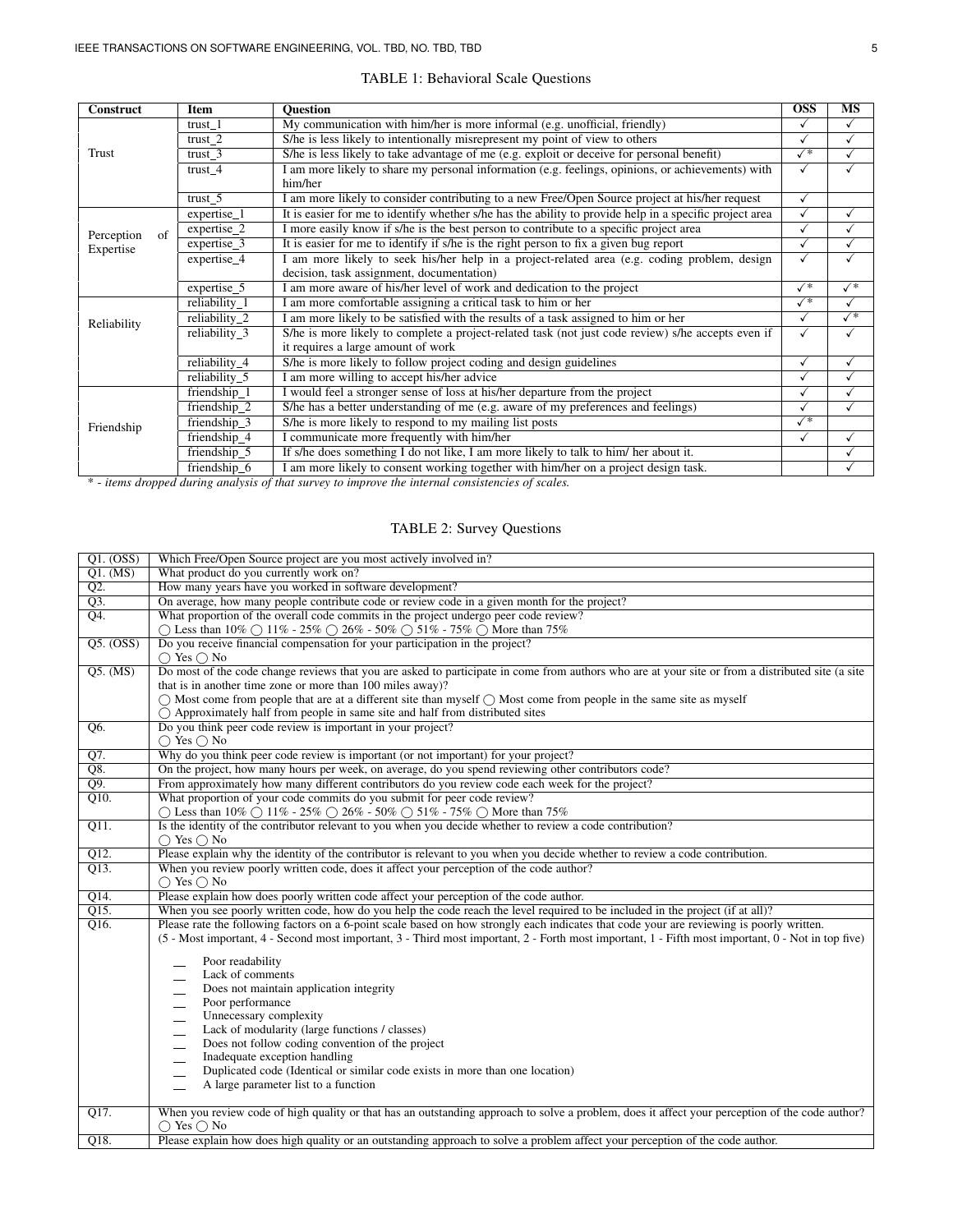<span id="page-4-0"></span>

| <b>Construct</b> | <b>Item</b>                               | Question                                                                                                | <b>OSS</b>     | MS         |  |  |
|------------------|-------------------------------------------|---------------------------------------------------------------------------------------------------------|----------------|------------|--|--|
|                  | trust $1$                                 | My communication with him/her is more informal (e.g. unofficial, friendly)                              |                |            |  |  |
|                  | trust_2                                   | S/he is less likely to intentionally misrepresent my point of view to others                            |                |            |  |  |
| Trust            | trust $_3$                                | S/he is less likely to take advantage of me (e.g. exploit or deceive for personal benefit)              |                |            |  |  |
|                  | trust $4$                                 | I am more likely to share my personal information (e.g. feelings, opinions, or achievements) with       |                |            |  |  |
|                  |                                           | him/her                                                                                                 |                |            |  |  |
|                  | trust $5$                                 | I am more likely to consider contributing to a new Free/Open Source project at his/her request          | $\checkmark$   |            |  |  |
|                  | expertise_1                               | It is easier for me to identify whether s/he has the ability to provide help in a specific project area |                | ✓          |  |  |
| of<br>Perception | expertise_2                               | I more easily know if s/he is the best person to contribute to a specific project area                  | ✓              | ✓          |  |  |
| Expertise        | expertise_3                               | It is easier for me to identify if s/he is the right person to fix a given bug report                   | ✓              | ✓          |  |  |
|                  | expertise 4                               | I am more likely to seek his/her help in a project-related area (e.g. coding problem, design            |                |            |  |  |
|                  | decision, task assignment, documentation) |                                                                                                         |                |            |  |  |
|                  | expertise 5                               | I am more aware of his/her level of work and dedication to the project                                  | $\checkmark^*$ | $\sqrt{*}$ |  |  |
|                  | reliability 1                             | I am more comfortable assigning a critical task to him or her                                           | $\checkmark^*$ | ✓          |  |  |
| Reliability      | reliability_2                             | I am more likely to be satisfied with the results of a task assigned to him or her                      |                |            |  |  |
|                  | reliability_3                             | S/he is more likely to complete a project-related task (not just code review) s/he accepts even if      |                |            |  |  |
|                  |                                           | it requires a large amount of work                                                                      |                |            |  |  |
|                  | reliability_4                             | S/he is more likely to follow project coding and design guidelines                                      | $\checkmark$   | ✓          |  |  |
|                  | reliability_5                             | I am more willing to accept his/her advice                                                              | ✓              | ✓          |  |  |
|                  | friendship_1                              | I would feel a stronger sense of loss at his/her departure from the project                             | ✓              | ✓          |  |  |
|                  | friendship 2                              | S/he has a better understanding of me (e.g. aware of my preferences and feelings)                       |                | ✓          |  |  |
| Friendship       | friendship_3                              | S/he is more likely to respond to my mailing list posts                                                 |                |            |  |  |
|                  | friendship_4                              | I communicate more frequently with him/her                                                              | ✓              | ✓          |  |  |
|                  | friendship_5                              | If s/he does something I do not like, I am more likely to talk to him/ her about it.                    |                |            |  |  |
|                  | friendship_6                              | I am more likely to consent working together with him/her on a project design task.                     |                |            |  |  |

# TABLE 1: Behavioral Scale Questions

\* - *items dropped during analysis of that survey to improve the internal consistencies of scales.*

# TABLE 2: Survey Questions

<span id="page-4-1"></span>

| Q1. (OSS)          | Which Free/Open Source project are you most actively involved in?                                                                                  |
|--------------------|----------------------------------------------------------------------------------------------------------------------------------------------------|
| Q1. (MS)           | What product do you currently work on?                                                                                                             |
| Q2.                | How many years have you worked in software development?                                                                                            |
| Q3.                | On average, how many people contribute code or review code in a given month for the project?                                                       |
| Q4.                | What proportion of the overall code commits in the project undergo peer code review?                                                               |
|                    | ◯ Less than $10\%$ ◯ $11\%$ - $25\%$ ◯ $26\%$ - $50\%$ ◯ $51\%$ - $75\%$ ◯ More than $75\%$                                                        |
| Q5. (OSS)          | Do you receive financial compensation for your participation in the project?                                                                       |
|                    | $\bigcirc$ Yes $\bigcirc$ No                                                                                                                       |
| Q5. (MS)           | Do most of the code change reviews that you are asked to participate in come from authors who are at your site or from a distributed site (a site  |
|                    | that is in another time zone or more than 100 miles away)?                                                                                         |
|                    | $\bigcap$ Most come from people that are at a different site than myself $\bigcap$ Most come from people in the same site as myself                |
|                    | $\bigcap$ Approximately half from people in same site and half from distributed sites                                                              |
| Q6.                | Do you think peer code review is important in your project?                                                                                        |
|                    | $\bigcap$ Yes $\bigcap$ No                                                                                                                         |
| Q7.                | Why do you think peer code review is important (or not important) for your project?                                                                |
| Q8.                | On the project, how many hours per week, on average, do you spend reviewing other contributors code?                                               |
| Q9.                | From approximately how many different contributors do you review code each week for the project?                                                   |
| $\overline{Q10}$ . | What proportion of your code commits do you submit for peer code review?                                                                           |
|                    | ◯ Less than $10\%$ ◯ $11\%$ - $25\%$ ◯ $26\%$ - $50\%$ ◯ $51\%$ - $75\%$ ◯ More than $75\%$                                                        |
| Q11.               | Is the identity of the contributor relevant to you when you decide whether to review a code contribution?                                          |
|                    | $\bigcirc$ Yes $\bigcirc$ No                                                                                                                       |
| Q12.               | Please explain why the identity of the contributor is relevant to you when you decide whether to review a code contribution.                       |
| Q13.               | When you review poorly written code, does it affect your perception of the code author?                                                            |
|                    | $\bigcap$ Yes $\bigcap$ No                                                                                                                         |
| Q14.               | Please explain how does poorly written code affect your perception of the code author.                                                             |
| Q15.               | When you see poorly written code, how do you help the code reach the level required to be included in the project (if at all)?                     |
| Q16.               | Please rate the following factors on a 6-point scale based on how strongly each indicates that code your are reviewing is poorly written.          |
|                    | (5 - Most important, 4 - Second most important, 3 - Third most important, 2 - Forth most important, 1 - Fifth most important, 0 - Not in top five) |
|                    | Poor readability                                                                                                                                   |
|                    | Lack of comments                                                                                                                                   |
|                    | Does not maintain application integrity                                                                                                            |
|                    | Poor performance                                                                                                                                   |
|                    | Unnecessary complexity                                                                                                                             |
|                    | Lack of modularity (large functions / classes)                                                                                                     |
|                    | Does not follow coding convention of the project                                                                                                   |
|                    | Inadequate exception handling<br>$\overline{\phantom{0}}$                                                                                          |
|                    | Duplicated code (Identical or similar code exists in more than one location)                                                                       |
|                    | A large parameter list to a function                                                                                                               |
|                    |                                                                                                                                                    |
| Q17.               | When you review code of high quality or that has an outstanding approach to solve a problem, does it affect your perception of the code author?    |
|                    | $\bigcirc$ Yes $\bigcirc$ No                                                                                                                       |
| Q18.               | Please explain how does high quality or an outstanding approach to solve a problem affect your perception of the code author.                      |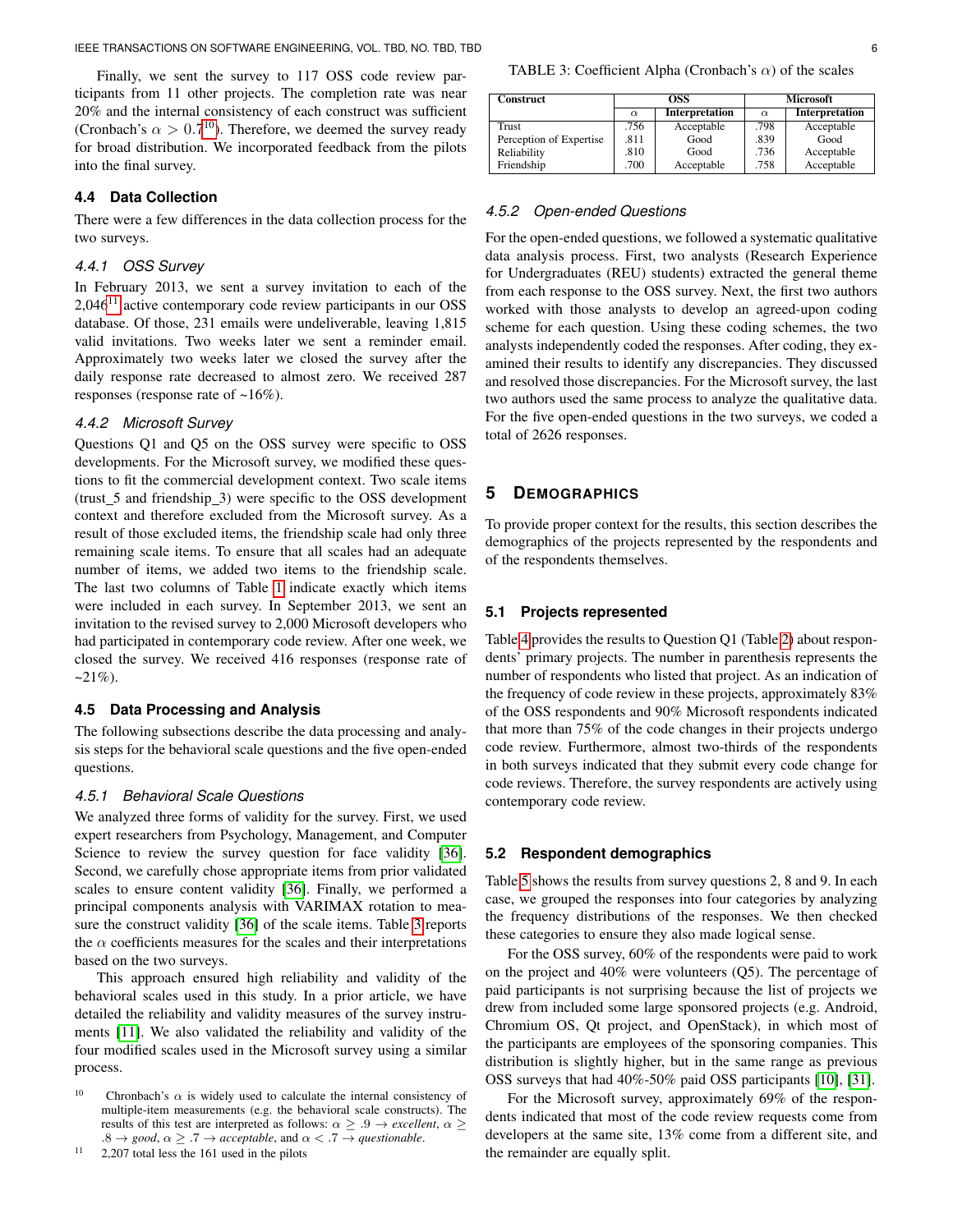Finally, we sent the survey to 117 OSS code review participants from 11 other projects. The completion rate was near 20% and the internal consistency of each construct was sufficient (Cronbach's  $\alpha > 0.7^{10}$  $\alpha > 0.7^{10}$  $\alpha > 0.7^{10}$ ). Therefore, we deemed the survey ready for broad distribution. We incorporated feedback from the pilots into the final survey.

#### <span id="page-5-1"></span>**4.4 Data Collection**

There were a few differences in the data collection process for the two surveys.

## *4.4.1 OSS Survey*

In February 2013, we sent a survey invitation to each of the  $2,046<sup>11</sup>$  $2,046<sup>11</sup>$  $2,046<sup>11</sup>$  active contemporary code review participants in our OSS database. Of those, 231 emails were undeliverable, leaving 1,815 valid invitations. Two weeks later we sent a reminder email. Approximately two weeks later we closed the survey after the daily response rate decreased to almost zero. We received 287 responses (response rate of ~16%).

## *4.4.2 Microsoft Survey*

Questions Q1 and Q5 on the OSS survey were specific to OSS developments. For the Microsoft survey, we modified these questions to fit the commercial development context. Two scale items (trust 5 and friendship 3) were specific to the OSS development context and therefore excluded from the Microsoft survey. As a result of those excluded items, the friendship scale had only three remaining scale items. To ensure that all scales had an adequate number of items, we added two items to the friendship scale. The last two columns of Table [1](#page-4-0) indicate exactly which items were included in each survey. In September 2013, we sent an invitation to the revised survey to 2,000 Microsoft developers who had participated in contemporary code review. After one week, we closed the survey. We received 416 responses (response rate of  $-21\%$ ).

## **4.5 Data Processing and Analysis**

The following subsections describe the data processing and analysis steps for the behavioral scale questions and the five open-ended questions.

## *4.5.1 Behavioral Scale Questions*

We analyzed three forms of validity for the survey. First, we used expert researchers from Psychology, Management, and Computer Science to review the survey question for face validity [\[36\]](#page-17-30). Second, we carefully chose appropriate items from prior validated scales to ensure content validity [\[36\]](#page-17-30). Finally, we performed a principal components analysis with VARIMAX rotation to measure the construct validity [\[36\]](#page-17-30) of the scale items. Table [3](#page-5-4) reports the  $\alpha$  coefficients measures for the scales and their interpretations based on the two surveys.

This approach ensured high reliability and validity of the behavioral scales used in this study. In a prior article, we have detailed the reliability and validity measures of the survey instruments [\[11\]](#page-17-10). We also validated the reliability and validity of the four modified scales used in the Microsoft survey using a similar process.

<span id="page-5-4"></span>TABLE 3: Coefficient Alpha (Cronbach's  $\alpha$ ) of the scales

| <b>Construct</b>        |          | OSS            | <b>Microsoft</b> |                |  |
|-------------------------|----------|----------------|------------------|----------------|--|
|                         | $\alpha$ | Interpretation | $\alpha$         | Interpretation |  |
| Trust                   | .756     | Acceptable     | .798             | Acceptable     |  |
| Perception of Expertise | .811     | Good           | .839             | Good           |  |
| Reliability             | .810     | Good           | .736             | Acceptable     |  |
| Friendship              | .700     | Acceptable     | .758             | Acceptable     |  |

#### <span id="page-5-5"></span>*4.5.2 Open-ended Questions*

For the open-ended questions, we followed a systematic qualitative data analysis process. First, two analysts (Research Experience for Undergraduates (REU) students) extracted the general theme from each response to the OSS survey. Next, the first two authors worked with those analysts to develop an agreed-upon coding scheme for each question. Using these coding schemes, the two analysts independently coded the responses. After coding, they examined their results to identify any discrepancies. They discussed and resolved those discrepancies. For the Microsoft survey, the last two authors used the same process to analyze the qualitative data. For the five open-ended questions in the two surveys, we coded a total of 2626 responses.

## <span id="page-5-0"></span>**5 DEMOGRAPHICS**

To provide proper context for the results, this section describes the demographics of the projects represented by the respondents and of the respondents themselves.

## **5.1 Projects represented**

Table [4](#page-6-1) provides the results to Question Q1 (Table [2\)](#page-4-1) about respondents' primary projects. The number in parenthesis represents the number of respondents who listed that project. As an indication of the frequency of code review in these projects, approximately 83% of the OSS respondents and 90% Microsoft respondents indicated that more than 75% of the code changes in their projects undergo code review. Furthermore, almost two-thirds of the respondents in both surveys indicated that they submit every code change for code reviews. Therefore, the survey respondents are actively using contemporary code review.

#### **5.2 Respondent demographics**

Table [5](#page-6-2) shows the results from survey questions 2, 8 and 9. In each case, we grouped the responses into four categories by analyzing the frequency distributions of the responses. We then checked these categories to ensure they also made logical sense.

For the OSS survey, 60% of the respondents were paid to work on the project and 40% were volunteers (Q5). The percentage of paid participants is not surprising because the list of projects we drew from included some large sponsored projects (e.g. Android, Chromium OS, Qt project, and OpenStack), in which most of the participants are employees of the sponsoring companies. This distribution is slightly higher, but in the same range as previous OSS surveys that had 40%-50% paid OSS participants [\[10\]](#page-16-7), [\[31\]](#page-17-31).

For the Microsoft survey, approximately 69% of the respondents indicated that most of the code review requests come from developers at the same site, 13% come from a different site, and the remainder are equally split.

<span id="page-5-2"></span><sup>&</sup>lt;sup>10</sup> Chronbach's  $\alpha$  is widely used to calculate the internal consistency of multiple-item measurements (e.g. the behavioral scale constructs). The results of this test are interpreted as follows:  $\alpha \geq .9 \rightarrow excellent$ ,  $\alpha \geq$  $.8 \rightarrow \text{good}, \alpha \geq .7 \rightarrow \text{acceptable}, \text{and } \alpha < .7 \rightarrow \text{questionable}.$ 

<span id="page-5-3"></span><sup>11</sup> 2,207 total less the 161 used in the pilots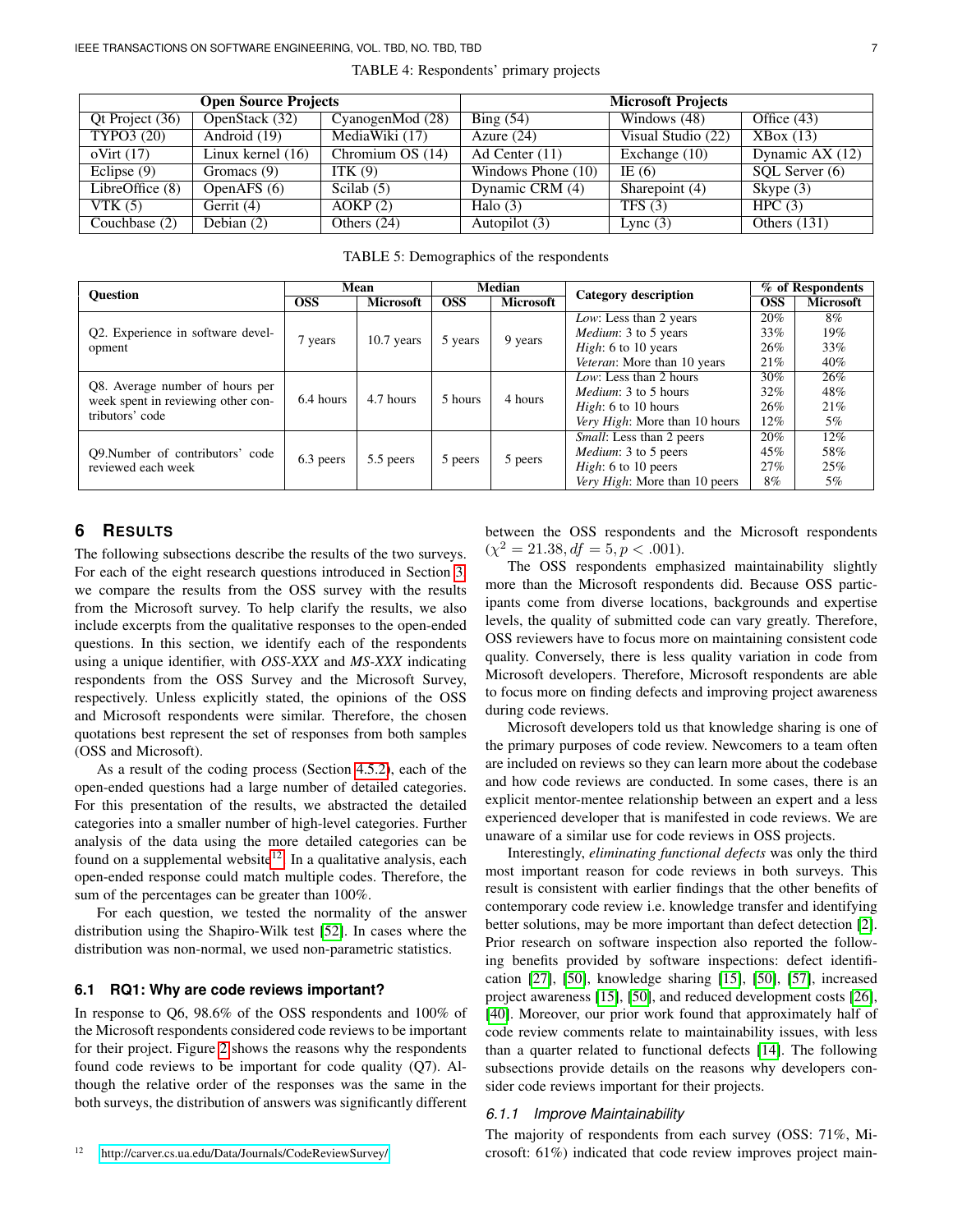TABLE 4: Respondents' primary projects

<span id="page-6-1"></span>

|                   | <b>Open Source Projects</b> |                    | <b>Microsoft Projects</b> |                    |                   |  |
|-------------------|-----------------------------|--------------------|---------------------------|--------------------|-------------------|--|
| Qt Project (36)   | OpenStack (32)              | CyanogenMod (28)   | Bing $(54)$               | Windows $(48)$     | Office $(43)$     |  |
| <b>TYPO3 (20)</b> | Android (19)                | MediaWiki (17)     | Azure $(24)$              | Visual Studio (22) | XBox(13)          |  |
| oVirt $(17)$      | Linux kernel $(16)$         | Chromium OS $(14)$ | Ad Center $(11)$          | Exchange $(10)$    | Dynamic AX $(12)$ |  |
| Eclipse $(9)$     | Gromacs (9)                 | ITK $(9)$          | Windows Phone (10)        | IE $(6)$           | SQL Server (6)    |  |
| LibreOffice $(8)$ | OpenAFS $(6)$               | Scilab $(5)$       | Dynamic CRM (4)           | Sharepoint (4)     | Skype $(3)$       |  |
| VTK(5)            | Gerrit $(4)$                | AOKP(2)            | Halo $(3)$                | TFS(3)             | HPC(3)            |  |
| Couchbase $(2)$   | Debian $(2)$                | Others $(24)$      | Autopilot (3)             | Lync $(3)$         | Others $(131)$    |  |

TABLE 5: Demographics of the respondents

<span id="page-6-2"></span>

| <b>Ouestion</b>                    | Mean             |                  | <b>Median</b>    |                  |                                 | % of Respondents |                  |
|------------------------------------|------------------|------------------|------------------|------------------|---------------------------------|------------------|------------------|
|                                    | $\overline{OSS}$ | <b>Microsoft</b> | $\overline{OSS}$ | <b>Microsoft</b> | Category description            | $\overline{OSS}$ | <b>Microsoft</b> |
|                                    | 7 years          | $10.7$ years     | 5 years          | 9 years          | Low: Less than 2 years          | 20%              | 8%               |
| Q2. Experience in software devel-  |                  |                  |                  |                  | <i>Medium:</i> 3 to 5 years     | 33%              | 19%              |
| opment                             |                  |                  |                  |                  | <i>High</i> : 6 to 10 years     | 26%              | 33%              |
|                                    |                  |                  |                  |                  | Veteran: More than 10 years     | 21%              | $40\%$           |
|                                    | 6.4 hours        | 4.7 hours        | 5 hours          | 4 hours          | Low: Less than 2 hours          | 30%              | 26%              |
| Q8. Average number of hours per    |                  |                  |                  |                  | <i>Medium:</i> 3 to 5 hours     | 32%              | 48%              |
| week spent in reviewing other con- |                  |                  |                  |                  | <i>High</i> : 6 to 10 hours     | 26%              | 21%              |
| tributors' code                    |                  |                  |                  |                  | Very High: More than 10 hours   | $12\%$           | $5\%$            |
|                                    |                  |                  | 5 peers          | 5 peers          | <i>Small:</i> Less than 2 peers | 20%              | 12%              |
| O9. Number of contributors' code   | 6.3 peers        | 5.5 peers        |                  |                  | <i>Medium:</i> 3 to 5 peers     | 45%              | 58%              |
| reviewed each week                 |                  |                  |                  |                  | <i>High</i> : 6 to 10 peers     | 27%              | 25%              |
|                                    |                  |                  |                  |                  | Very High: More than 10 peers   | $8\%$            | 5%               |

## <span id="page-6-0"></span>**6 RESULTS**

The following subsections describe the results of the two surveys. For each of the eight research questions introduced in Section [3,](#page-2-0) we compare the results from the OSS survey with the results from the Microsoft survey. To help clarify the results, we also include excerpts from the qualitative responses to the open-ended questions. In this section, we identify each of the respondents using a unique identifier, with *OSS-XXX* and *MS-XXX* indicating respondents from the OSS Survey and the Microsoft Survey, respectively. Unless explicitly stated, the opinions of the OSS and Microsoft respondents were similar. Therefore, the chosen quotations best represent the set of responses from both samples (OSS and Microsoft).

As a result of the coding process (Section [4.5.2\)](#page-5-5), each of the open-ended questions had a large number of detailed categories. For this presentation of the results, we abstracted the detailed categories into a smaller number of high-level categories. Further analysis of the data using the more detailed categories can be found on a supplemental website<sup>[12](#page-6-3)</sup>. In a qualitative analysis, each open-ended response could match multiple codes. Therefore, the sum of the percentages can be greater than 100%.

For each question, we tested the normality of the answer distribution using the Shapiro-Wilk test [\[52\]](#page-17-32). In cases where the distribution was non-normal, we used non-parametric statistics.

## **6.1 RQ1: Why are code reviews important?**

<span id="page-6-3"></span>In response to Q6, 98.6% of the OSS respondents and 100% of the Microsoft respondents considered code reviews to be important for their project. Figure [2](#page-7-0) shows the reasons why the respondents found code reviews to be important for code quality (Q7). Although the relative order of the responses was the same in the both surveys, the distribution of answers was significantly different between the OSS respondents and the Microsoft respondents  $(\chi^2 = 21.38, df = 5, p < .001).$ 

The OSS respondents emphasized maintainability slightly more than the Microsoft respondents did. Because OSS participants come from diverse locations, backgrounds and expertise levels, the quality of submitted code can vary greatly. Therefore, OSS reviewers have to focus more on maintaining consistent code quality. Conversely, there is less quality variation in code from Microsoft developers. Therefore, Microsoft respondents are able to focus more on finding defects and improving project awareness during code reviews.

Microsoft developers told us that knowledge sharing is one of the primary purposes of code review. Newcomers to a team often are included on reviews so they can learn more about the codebase and how code reviews are conducted. In some cases, there is an explicit mentor-mentee relationship between an expert and a less experienced developer that is manifested in code reviews. We are unaware of a similar use for code reviews in OSS projects.

Interestingly, *eliminating functional defects* was only the third most important reason for code reviews in both surveys. This result is consistent with earlier findings that the other benefits of contemporary code review i.e. knowledge transfer and identifying better solutions, may be more important than defect detection [\[2\]](#page-16-0). Prior research on software inspection also reported the following benefits provided by software inspections: defect identification [\[27\]](#page-17-33), [\[50\]](#page-17-34), knowledge sharing [\[15\]](#page-17-35), [\[50\]](#page-17-34), [\[57\]](#page-17-36), increased project awareness [\[15\]](#page-17-35), [\[50\]](#page-17-34), and reduced development costs [\[26\]](#page-17-37), [\[40\]](#page-17-38). Moreover, our prior work found that approximately half of code review comments relate to maintainability issues, with less than a quarter related to functional defects [\[14\]](#page-17-9). The following subsections provide details on the reasons why developers consider code reviews important for their projects.

#### *6.1.1 Improve Maintainability*

The majority of respondents from each survey (OSS: 71%, Microsoft: 61%) indicated that code review improves project main-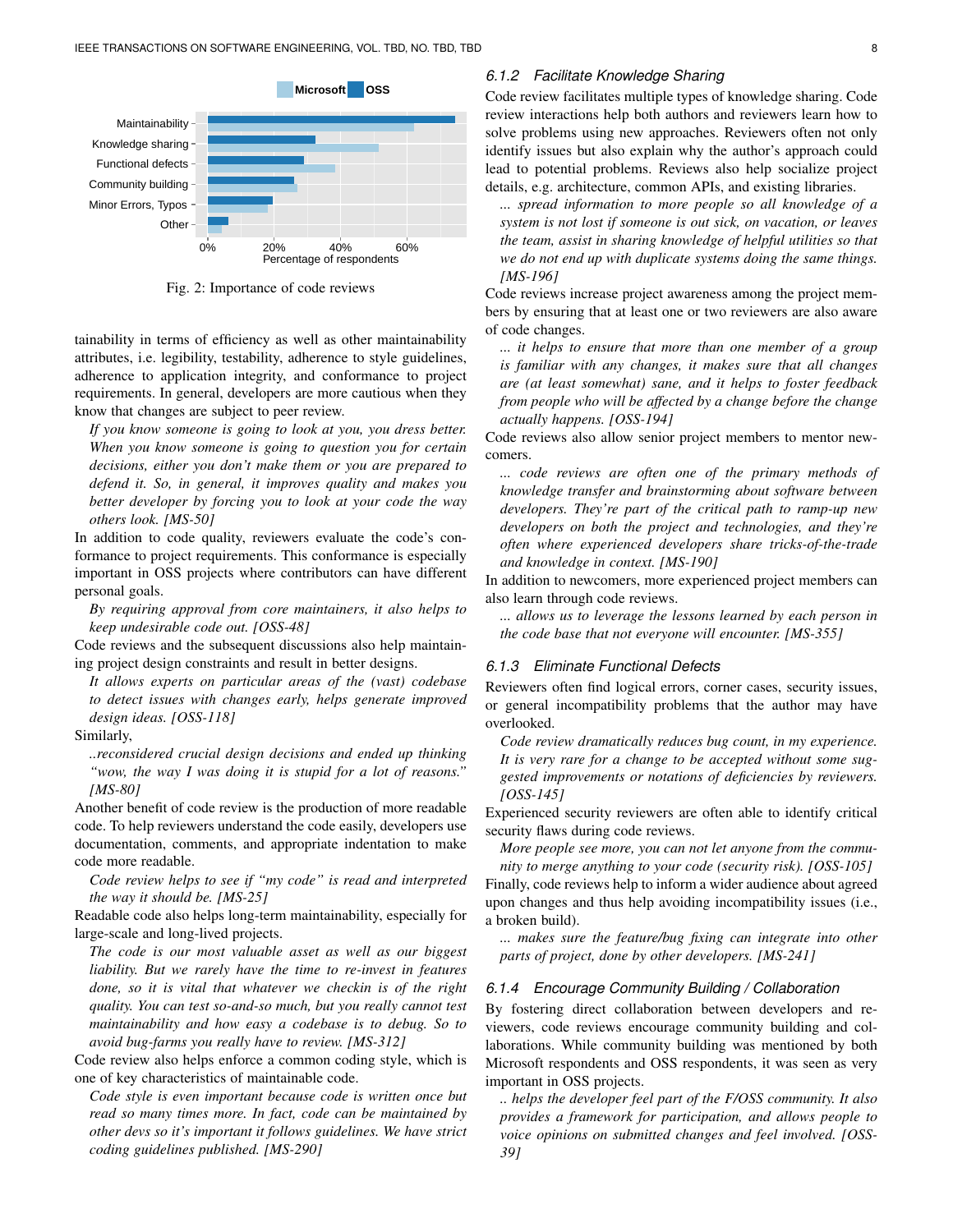<span id="page-7-0"></span>

Fig. 2: Importance of code reviews

tainability in terms of efficiency as well as other maintainability attributes, i.e. legibility, testability, adherence to style guidelines, adherence to application integrity, and conformance to project requirements. In general, developers are more cautious when they know that changes are subject to peer review.

*If you know someone is going to look at you, you dress better. When you know someone is going to question you for certain decisions, either you don't make them or you are prepared to defend it. So, in general, it improves quality and makes you better developer by forcing you to look at your code the way others look. [MS-50]*

In addition to code quality, reviewers evaluate the code's conformance to project requirements. This conformance is especially important in OSS projects where contributors can have different personal goals.

*By requiring approval from core maintainers, it also helps to keep undesirable code out. [OSS-48]*

Code reviews and the subsequent discussions also help maintaining project design constraints and result in better designs.

*It allows experts on particular areas of the (vast) codebase to detect issues with changes early, helps generate improved design ideas. [OSS-118]*

Similarly,

*..reconsidered crucial design decisions and ended up thinking "wow, the way I was doing it is stupid for a lot of reasons." [MS-80]*

Another benefit of code review is the production of more readable code. To help reviewers understand the code easily, developers use documentation, comments, and appropriate indentation to make code more readable.

*Code review helps to see if "my code" is read and interpreted the way it should be. [MS-25]*

Readable code also helps long-term maintainability, especially for large-scale and long-lived projects.

*The code is our most valuable asset as well as our biggest liability. But we rarely have the time to re-invest in features done, so it is vital that whatever we checkin is of the right quality. You can test so-and-so much, but you really cannot test maintainability and how easy a codebase is to debug. So to avoid bug-farms you really have to review. [MS-312]*

Code review also helps enforce a common coding style, which is one of key characteristics of maintainable code.

*Code style is even important because code is written once but read so many times more. In fact, code can be maintained by other devs so it's important it follows guidelines. We have strict coding guidelines published. [MS-290]*

## *6.1.2 Facilitate Knowledge Sharing*

Code review facilitates multiple types of knowledge sharing. Code review interactions help both authors and reviewers learn how to solve problems using new approaches. Reviewers often not only identify issues but also explain why the author's approach could lead to potential problems. Reviews also help socialize project details, e.g. architecture, common APIs, and existing libraries.

*... spread information to more people so all knowledge of a system is not lost if someone is out sick, on vacation, or leaves the team, assist in sharing knowledge of helpful utilities so that we do not end up with duplicate systems doing the same things. [MS-196]*

Code reviews increase project awareness among the project members by ensuring that at least one or two reviewers are also aware of code changes.

*... it helps to ensure that more than one member of a group is familiar with any changes, it makes sure that all changes are (at least somewhat) sane, and it helps to foster feedback from people who will be affected by a change before the change actually happens. [OSS-194]*

Code reviews also allow senior project members to mentor newcomers.

*... code reviews are often one of the primary methods of knowledge transfer and brainstorming about software between developers. They're part of the critical path to ramp-up new developers on both the project and technologies, and they're often where experienced developers share tricks-of-the-trade and knowledge in context. [MS-190]*

In addition to newcomers, more experienced project members can also learn through code reviews.

*... allows us to leverage the lessons learned by each person in the code base that not everyone will encounter. [MS-355]*

## *6.1.3 Eliminate Functional Defects*

Reviewers often find logical errors, corner cases, security issues, or general incompatibility problems that the author may have overlooked.

*Code review dramatically reduces bug count, in my experience. It is very rare for a change to be accepted without some suggested improvements or notations of deficiencies by reviewers. [OSS-145]*

Experienced security reviewers are often able to identify critical security flaws during code reviews.

*More people see more, you can not let anyone from the community to merge anything to your code (security risk). [OSS-105]* Finally, code reviews help to inform a wider audience about agreed upon changes and thus help avoiding incompatibility issues (i.e., a broken build).

*... makes sure the feature/bug fixing can integrate into other parts of project, done by other developers. [MS-241]*

#### *6.1.4 Encourage Community Building / Collaboration*

By fostering direct collaboration between developers and reviewers, code reviews encourage community building and collaborations. While community building was mentioned by both Microsoft respondents and OSS respondents, it was seen as very important in OSS projects.

*.. helps the developer feel part of the F/OSS community. It also provides a framework for participation, and allows people to voice opinions on submitted changes and feel involved. [OSS-39]*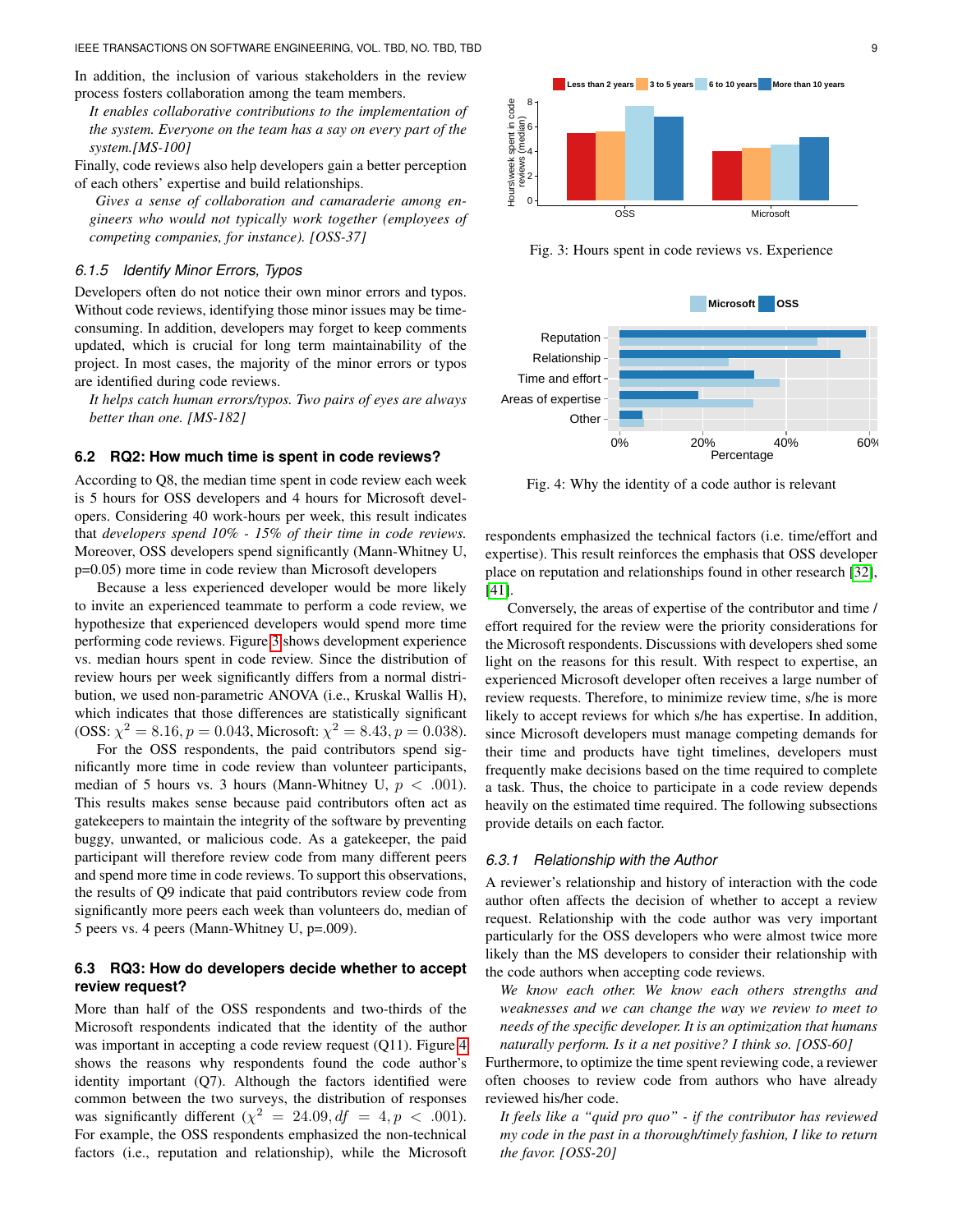In addition, the inclusion of various stakeholders in the review process fosters collaboration among the team members.

*It enables collaborative contributions to the implementation of the system. Everyone on the team has a say on every part of the system.[MS-100]*

Finally, code reviews also help developers gain a better perception of each others' expertise and build relationships.

*Gives a sense of collaboration and camaraderie among engineers who would not typically work together (employees of competing companies, for instance). [OSS-37]*

#### *6.1.5 Identify Minor Errors, Typos*

Developers often do not notice their own minor errors and typos. Without code reviews, identifying those minor issues may be timeconsuming. In addition, developers may forget to keep comments updated, which is crucial for long term maintainability of the project. In most cases, the majority of the minor errors or typos are identified during code reviews.

*It helps catch human errors/typos. Two pairs of eyes are always better than one. [MS-182]*

## **6.2 RQ2: How much time is spent in code reviews?**

According to Q8, the median time spent in code review each week is 5 hours for OSS developers and 4 hours for Microsoft developers. Considering 40 work-hours per week, this result indicates that *developers spend 10% - 15% of their time in code reviews.* Moreover, OSS developers spend significantly (Mann-Whitney U, p=0.05) more time in code review than Microsoft developers

Because a less experienced developer would be more likely to invite an experienced teammate to perform a code review, we hypothesize that experienced developers would spend more time performing code reviews. Figure [3](#page-8-0) shows development experience vs. median hours spent in code review. Since the distribution of review hours per week significantly differs from a normal distribution, we used non-parametric ANOVA (i.e., Kruskal Wallis H), which indicates that those differences are statistically significant (OSS:  $\chi^2 = 8.16, p = 0.043$ , Microsoft:  $\chi^2 = 8.43, p = 0.038$ ).

For the OSS respondents, the paid contributors spend significantly more time in code review than volunteer participants, median of 5 hours vs. 3 hours (Mann-Whitney U,  $p < .001$ ). This results makes sense because paid contributors often act as gatekeepers to maintain the integrity of the software by preventing buggy, unwanted, or malicious code. As a gatekeeper, the paid participant will therefore review code from many different peers and spend more time in code reviews. To support this observations, the results of Q9 indicate that paid contributors review code from significantly more peers each week than volunteers do, median of 5 peers vs. 4 peers (Mann-Whitney U, p=.009).

## <span id="page-8-2"></span>**6.3 RQ3: How do developers decide whether to accept review request?**

More than half of the OSS respondents and two-thirds of the Microsoft respondents indicated that the identity of the author was important in accepting a code review request (Q11). Figure [4](#page-8-1) shows the reasons why respondents found the code author's identity important (Q7). Although the factors identified were common between the two surveys, the distribution of responses was significantly different ( $\chi^2 = 24.09, df = 4, p < .001$ ). For example, the OSS respondents emphasized the non-technical factors (i.e., reputation and relationship), while the Microsoft

<span id="page-8-0"></span>

Fig. 3: Hours spent in code reviews vs. Experience

<span id="page-8-1"></span>

Fig. 4: Why the identity of a code author is relevant

respondents emphasized the technical factors (i.e. time/effort and expertise). This result reinforces the emphasis that OSS developer place on reputation and relationships found in other research [\[32\]](#page-17-18), [\[41\]](#page-17-39).

Conversely, the areas of expertise of the contributor and time / effort required for the review were the priority considerations for the Microsoft respondents. Discussions with developers shed some light on the reasons for this result. With respect to expertise, an experienced Microsoft developer often receives a large number of review requests. Therefore, to minimize review time, s/he is more likely to accept reviews for which s/he has expertise. In addition, since Microsoft developers must manage competing demands for their time and products have tight timelines, developers must frequently make decisions based on the time required to complete a task. Thus, the choice to participate in a code review depends heavily on the estimated time required. The following subsections provide details on each factor.

#### *6.3.1 Relationship with the Author*

A reviewer's relationship and history of interaction with the code author often affects the decision of whether to accept a review request. Relationship with the code author was very important particularly for the OSS developers who were almost twice more likely than the MS developers to consider their relationship with the code authors when accepting code reviews.

*We know each other. We know each others strengths and weaknesses and we can change the way we review to meet to needs of the specific developer. It is an optimization that humans naturally perform. Is it a net positive? I think so. [OSS-60]*

Furthermore, to optimize the time spent reviewing code, a reviewer often chooses to review code from authors who have already reviewed his/her code.

*It feels like a "quid pro quo" - if the contributor has reviewed my code in the past in a thorough/timely fashion, I like to return the favor. [OSS-20]*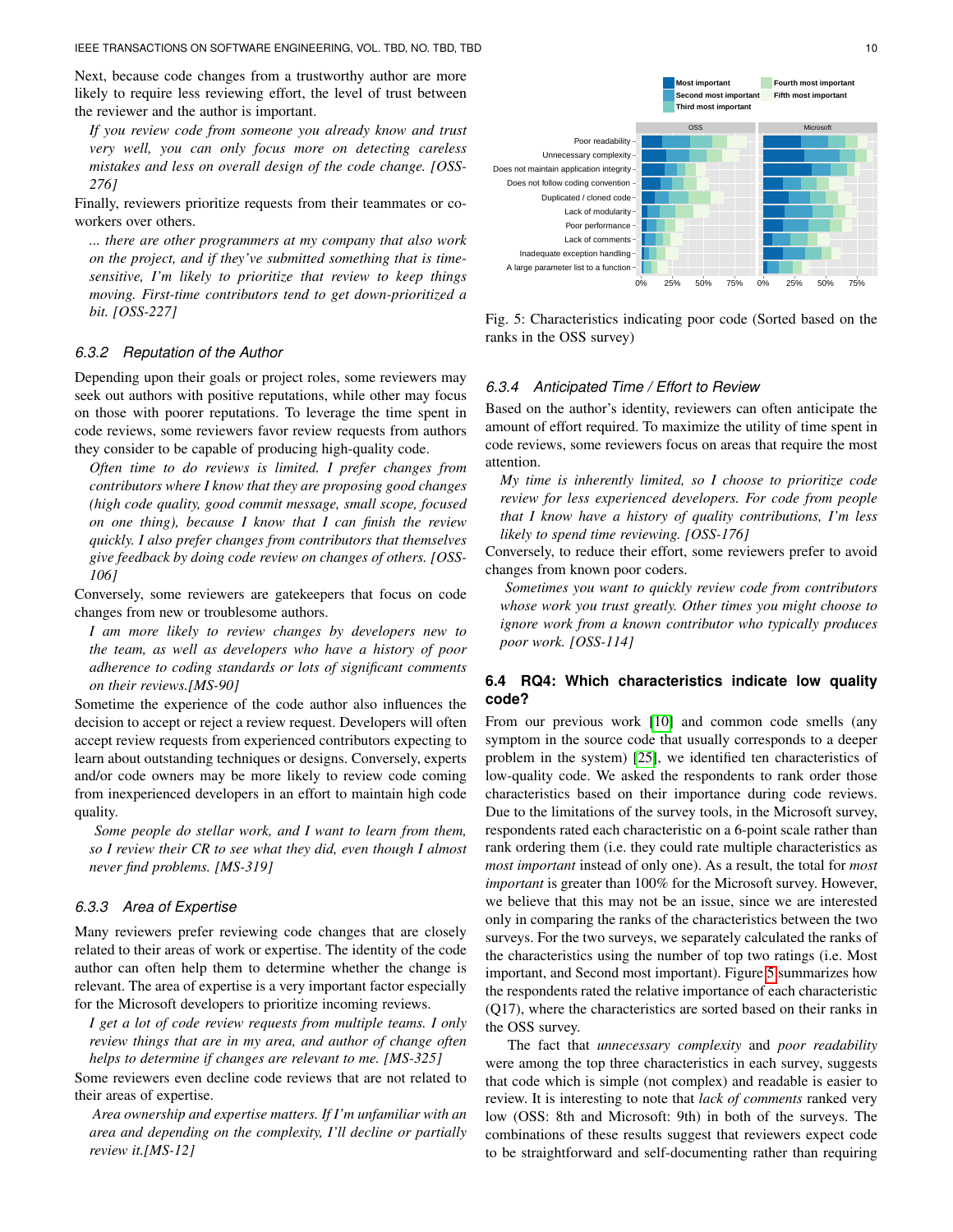Next, because code changes from a trustworthy author are more likely to require less reviewing effort, the level of trust between the reviewer and the author is important.

*If you review code from someone you already know and trust very well, you can only focus more on detecting careless mistakes and less on overall design of the code change. [OSS-276]*

Finally, reviewers prioritize requests from their teammates or coworkers over others.

*... there are other programmers at my company that also work on the project, and if they've submitted something that is timesensitive, I'm likely to prioritize that review to keep things moving. First-time contributors tend to get down-prioritized a bit. [OSS-227]*

## *6.3.2 Reputation of the Author*

Depending upon their goals or project roles, some reviewers may seek out authors with positive reputations, while other may focus on those with poorer reputations. To leverage the time spent in code reviews, some reviewers favor review requests from authors they consider to be capable of producing high-quality code.

*Often time to do reviews is limited. I prefer changes from contributors where I know that they are proposing good changes (high code quality, good commit message, small scope, focused on one thing), because I know that I can finish the review quickly. I also prefer changes from contributors that themselves give feedback by doing code review on changes of others. [OSS-106]*

Conversely, some reviewers are gatekeepers that focus on code changes from new or troublesome authors.

*I am more likely to review changes by developers new to the team, as well as developers who have a history of poor adherence to coding standards or lots of significant comments on their reviews.[MS-90]*

Sometime the experience of the code author also influences the decision to accept or reject a review request. Developers will often accept review requests from experienced contributors expecting to learn about outstanding techniques or designs. Conversely, experts and/or code owners may be more likely to review code coming from inexperienced developers in an effort to maintain high code quality.

*Some people do stellar work, and I want to learn from them, so I review their CR to see what they did, even though I almost never find problems. [MS-319]*

## *6.3.3 Area of Expertise*

Many reviewers prefer reviewing code changes that are closely related to their areas of work or expertise. The identity of the code author can often help them to determine whether the change is relevant. The area of expertise is a very important factor especially for the Microsoft developers to prioritize incoming reviews.

*I get a lot of code review requests from multiple teams. I only review things that are in my area, and author of change often helps to determine if changes are relevant to me. [MS-325]*

Some reviewers even decline code reviews that are not related to their areas of expertise.

*Area ownership and expertise matters. If I'm unfamiliar with an area and depending on the complexity, I'll decline or partially review it.[MS-12]*

<span id="page-9-0"></span>

Fig. 5: Characteristics indicating poor code (Sorted based on the ranks in the OSS survey)

## *6.3.4 Anticipated Time / Effort to Review*

Based on the author's identity, reviewers can often anticipate the amount of effort required. To maximize the utility of time spent in code reviews, some reviewers focus on areas that require the most attention.

*My time is inherently limited, so I choose to prioritize code review for less experienced developers. For code from people that I know have a history of quality contributions, I'm less likely to spend time reviewing. [OSS-176]*

Conversely, to reduce their effort, some reviewers prefer to avoid changes from known poor coders.

*Sometimes you want to quickly review code from contributors whose work you trust greatly. Other times you might choose to ignore work from a known contributor who typically produces poor work. [OSS-114]*

## **6.4 RQ4: Which characteristics indicate low quality code?**

From our previous work [\[10\]](#page-16-7) and common code smells (any symptom in the source code that usually corresponds to a deeper problem in the system) [\[25\]](#page-17-40), we identified ten characteristics of low-quality code. We asked the respondents to rank order those characteristics based on their importance during code reviews. Due to the limitations of the survey tools, in the Microsoft survey, respondents rated each characteristic on a 6-point scale rather than rank ordering them (i.e. they could rate multiple characteristics as *most important* instead of only one). As a result, the total for *most important* is greater than 100% for the Microsoft survey. However, we believe that this may not be an issue, since we are interested only in comparing the ranks of the characteristics between the two surveys. For the two surveys, we separately calculated the ranks of the characteristics using the number of top two ratings (i.e. Most important, and Second most important). Figure [5](#page-9-0) summarizes how the respondents rated the relative importance of each characteristic (Q17), where the characteristics are sorted based on their ranks in the OSS survey.

The fact that *unnecessary complexity* and *poor readability* were among the top three characteristics in each survey, suggests that code which is simple (not complex) and readable is easier to review. It is interesting to note that *lack of comments* ranked very low (OSS: 8th and Microsoft: 9th) in both of the surveys. The combinations of these results suggest that reviewers expect code to be straightforward and self-documenting rather than requiring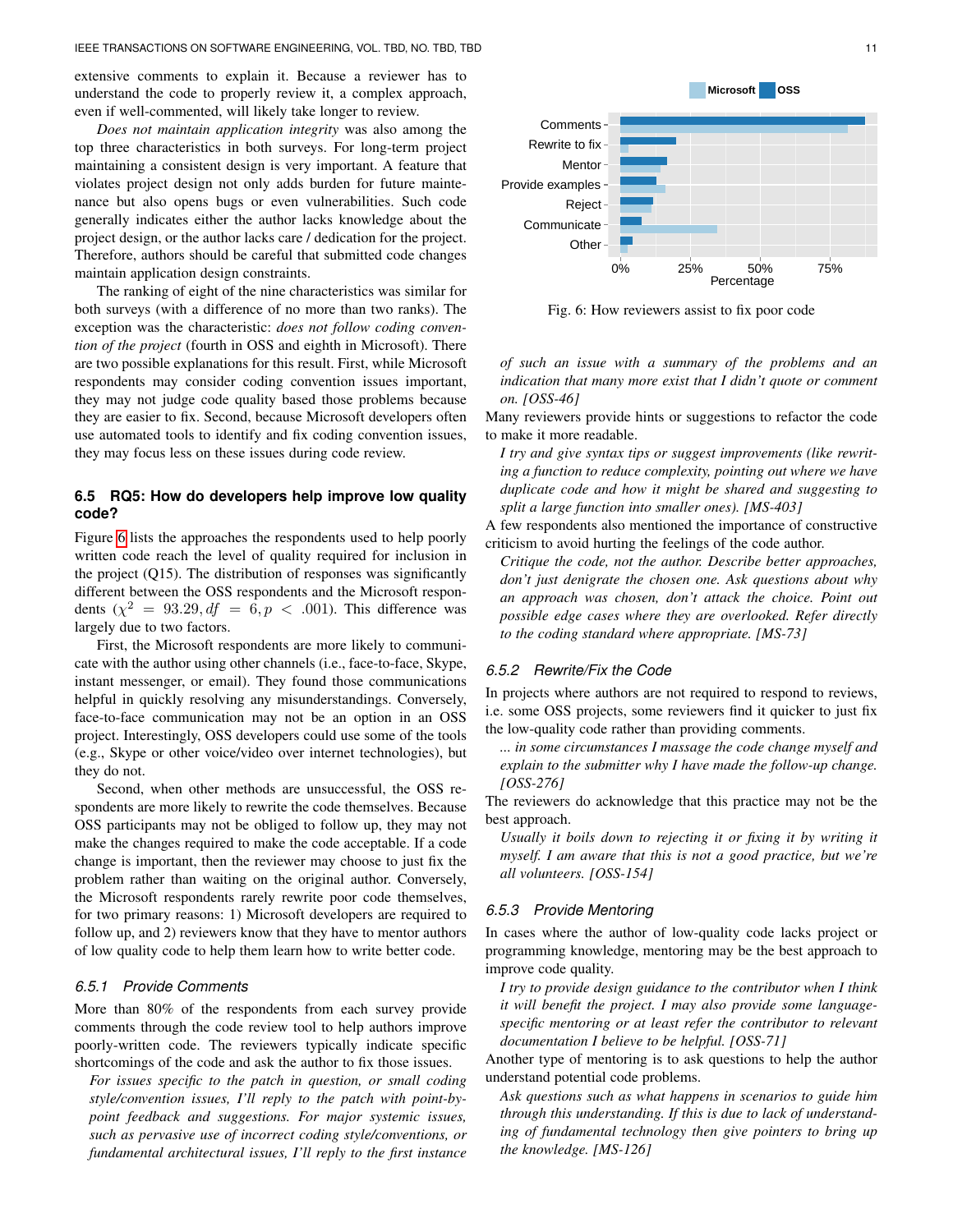extensive comments to explain it. Because a reviewer has to understand the code to properly review it, a complex approach, even if well-commented, will likely take longer to review.

*Does not maintain application integrity* was also among the top three characteristics in both surveys. For long-term project maintaining a consistent design is very important. A feature that violates project design not only adds burden for future maintenance but also opens bugs or even vulnerabilities. Such code generally indicates either the author lacks knowledge about the project design, or the author lacks care / dedication for the project. Therefore, authors should be careful that submitted code changes maintain application design constraints.

The ranking of eight of the nine characteristics was similar for both surveys (with a difference of no more than two ranks). The exception was the characteristic: *does not follow coding convention of the project* (fourth in OSS and eighth in Microsoft). There are two possible explanations for this result. First, while Microsoft respondents may consider coding convention issues important, they may not judge code quality based those problems because they are easier to fix. Second, because Microsoft developers often use automated tools to identify and fix coding convention issues, they may focus less on these issues during code review. Fundamental by each of the instance of the colding in the plane of the plane of the rapids of the rapids of the instance of the rapids of the rapids of the rapids of the rapids of the rapids of the rapids of the rapids of

## **6.5 RQ5: How do developers help improve low quality code?**

Figure [6](#page-10-0) lists the approaches the respondents used to help poorly written code reach the level of quality required for inclusion in the project (Q15). The distribution of responses was significantly different between the OSS respondents and the Microsoft respondents  $(\chi^2 = 93.29, df = 6, p < .001)$ . This difference was largely due to two factors.

First, the Microsoft respondents are more likely to communicate with the author using other channels (i.e., face-to-face, Skype, instant messenger, or email). They found those communications helpful in quickly resolving any misunderstandings. Conversely, face-to-face communication may not be an option in an OSS project. Interestingly, OSS developers could use some of the tools (e.g., Skype or other voice/video over internet technologies), but they do not.

Second, when other methods are unsuccessful, the OSS respondents are more likely to rewrite the code themselves. Because OSS participants may not be obliged to follow up, they may not make the changes required to make the code acceptable. If a code change is important, then the reviewer may choose to just fix the problem rather than waiting on the original author. Conversely, the Microsoft respondents rarely rewrite poor code themselves, for two primary reasons: 1) Microsoft developers are required to follow up, and 2) reviewers know that they have to mentor authors of low quality code to help them learn how to write better code.

#### *6.5.1 Provide Comments*

More than 80% of the respondents from each survey provide comments through the code review tool to help authors improve poorly-written code. The reviewers typically indicate specific shortcomings of the code and ask the author to fix those issues.

*For issues specific to the patch in question, or small coding style/convention issues, I'll reply to the patch with point-bypoint feedback and suggestions. For major systemic issues, such as pervasive use of incorrect coding style/conventions, or*

<span id="page-10-0"></span>

Fig. 6: How reviewers assist to fix poor code

*of such an issue with a summary of the problems and an indication that many more exist that I didn't quote or comment on. [OSS-46]*

Many reviewers provide hints or suggestions to refactor the code to make it more readable.

*I try and give syntax tips or suggest improvements (like rewriting a function to reduce complexity, pointing out where we have duplicate code and how it might be shared and suggesting to split a large function into smaller ones). [MS-403]*

A few respondents also mentioned the importance of constructive criticism to avoid hurting the feelings of the code author.

*Critique the code, not the author. Describe better approaches, don't just denigrate the chosen one. Ask questions about why an approach was chosen, don't attack the choice. Point out possible edge cases where they are overlooked. Refer directly to the coding standard where appropriate. [MS-73]*

#### *6.5.2 Rewrite/Fix the Code*

In projects where authors are not required to respond to reviews, i.e. some OSS projects, some reviewers find it quicker to just fix the low-quality code rather than providing comments.

*... in some circumstances I massage the code change myself and explain to the submitter why I have made the follow-up change. [OSS-276]*

The reviewers do acknowledge that this practice may not be the best approach.

*Usually it boils down to rejecting it or fixing it by writing it myself. I am aware that this is not a good practice, but we're all volunteers. [OSS-154]*

#### *6.5.3 Provide Mentoring*

In cases where the author of low-quality code lacks project or programming knowledge, mentoring may be the best approach to improve code quality.

*I try to provide design guidance to the contributor when I think it will benefit the project. I may also provide some languagespecific mentoring or at least refer the contributor to relevant documentation I believe to be helpful. [OSS-71]*

Another type of mentoring is to ask questions to help the author understand potential code problems.

*Ask questions such as what happens in scenarios to guide him through this understanding. If this is due to lack of understanding of fundamental technology then give pointers to bring up the knowledge. [MS-126]*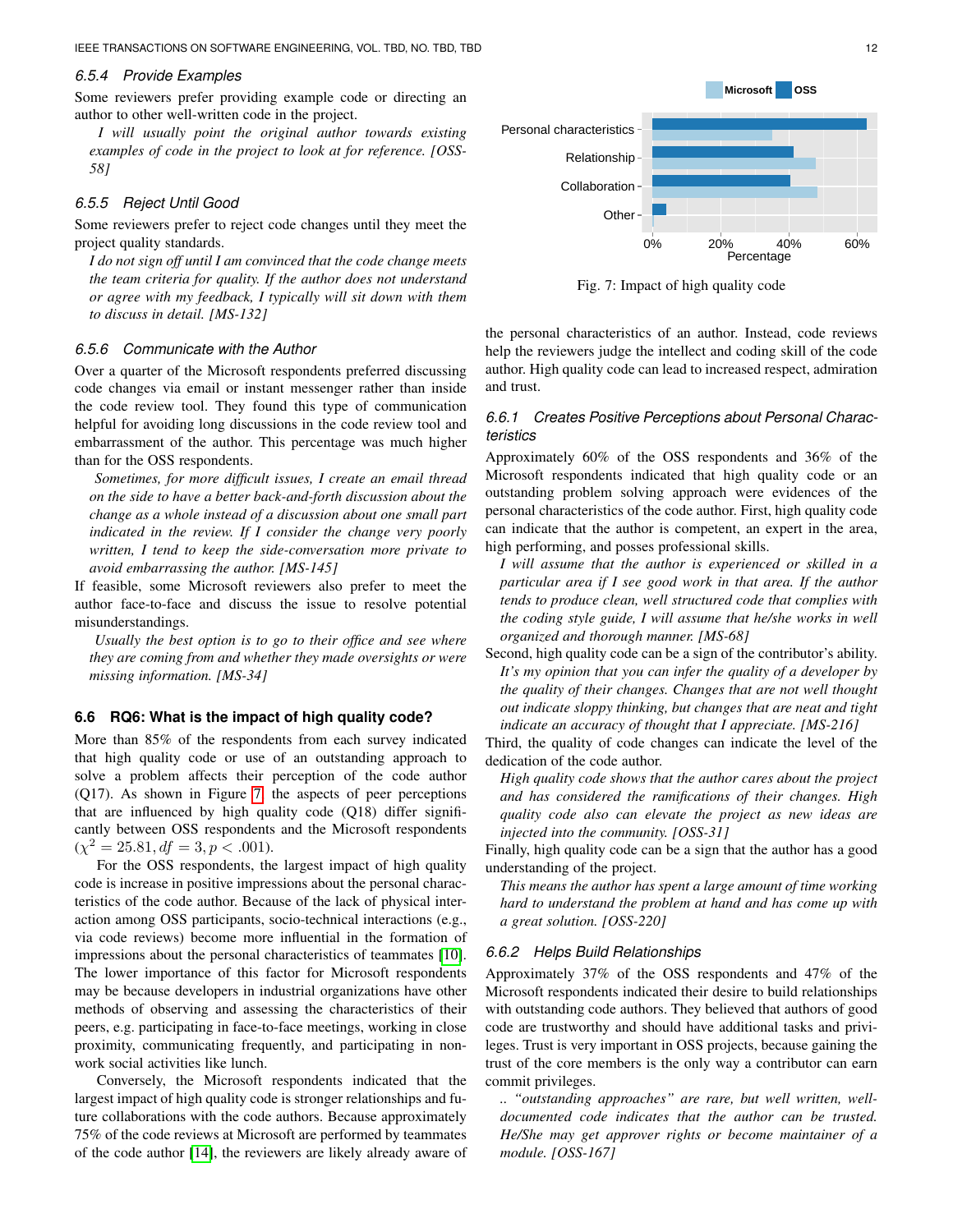#### *6.5.4 Provide Examples*

Some reviewers prefer providing example code or directing an author to other well-written code in the project.

*I will usually point the original author towards existing examples of code in the project to look at for reference. [OSS-58]*

## *6.5.5 Reject Until Good*

Some reviewers prefer to reject code changes until they meet the project quality standards.

*I do not sign off until I am convinced that the code change meets the team criteria for quality. If the author does not understand or agree with my feedback, I typically will sit down with them to discuss in detail. [MS-132]*

#### *6.5.6 Communicate with the Author*

Over a quarter of the Microsoft respondents preferred discussing code changes via email or instant messenger rather than inside the code review tool. They found this type of communication helpful for avoiding long discussions in the code review tool and embarrassment of the author. This percentage was much higher than for the OSS respondents.

*Sometimes, for more difficult issues, I create an email thread on the side to have a better back-and-forth discussion about the change as a whole instead of a discussion about one small part indicated in the review. If I consider the change very poorly written, I tend to keep the side-conversation more private to avoid embarrassing the author. [MS-145]*

If feasible, some Microsoft reviewers also prefer to meet the author face-to-face and discuss the issue to resolve potential misunderstandings.

*Usually the best option is to go to their office and see where they are coming from and whether they made oversights or were missing information. [MS-34]*

## **6.6 RQ6: What is the impact of high quality code?**

More than 85% of the respondents from each survey indicated that high quality code or use of an outstanding approach to solve a problem affects their perception of the code author (Q17). As shown in Figure [7,](#page-11-0) the aspects of peer perceptions that are influenced by high quality code (Q18) differ significantly between OSS respondents and the Microsoft respondents  $(\chi^2 = 25.81, df = 3, p < .001).$ 

For the OSS respondents, the largest impact of high quality code is increase in positive impressions about the personal characteristics of the code author. Because of the lack of physical interaction among OSS participants, socio-technical interactions (e.g., via code reviews) become more influential in the formation of impressions about the personal characteristics of teammates [\[10\]](#page-16-7). The lower importance of this factor for Microsoft respondents may be because developers in industrial organizations have other methods of observing and assessing the characteristics of their peers, e.g. participating in face-to-face meetings, working in close proximity, communicating frequently, and participating in nonwork social activities like lunch. One excience perform one interest code changes until they meet the<br>
Some excience performance of the control of the reviewers of the reviewers are determined by a matter of the rest of the rest of the rest of the rest of

Conversely, the Microsoft respondents indicated that the largest impact of high quality code is stronger relationships and future collaborations with the code authors. Because approximately 75% of the code reviews at Microsoft are performed by teammates

<span id="page-11-0"></span>

Fig. 7: Impact of high quality code

the personal characteristics of an author. Instead, code reviews help the reviewers judge the intellect and coding skill of the code author. High quality code can lead to increased respect, admiration and trust.

## *6.6.1 Creates Positive Perceptions about Personal Characteristics*

Approximately 60% of the OSS respondents and 36% of the Microsoft respondents indicated that high quality code or an outstanding problem solving approach were evidences of the personal characteristics of the code author. First, high quality code can indicate that the author is competent, an expert in the area, high performing, and posses professional skills.

*I will assume that the author is experienced or skilled in a particular area if I see good work in that area. If the author tends to produce clean, well structured code that complies with the coding style guide, I will assume that he/she works in well organized and thorough manner. [MS-68]*

Second, high quality code can be a sign of the contributor's ability. *It's my opinion that you can infer the quality of a developer by the quality of their changes. Changes that are not well thought out indicate sloppy thinking, but changes that are neat and tight indicate an accuracy of thought that I appreciate. [MS-216]*

Third, the quality of code changes can indicate the level of the dedication of the code author.

*High quality code shows that the author cares about the project and has considered the ramifications of their changes. High quality code also can elevate the project as new ideas are injected into the community. [OSS-31]*

Finally, high quality code can be a sign that the author has a good understanding of the project.

*This means the author has spent a large amount of time working hard to understand the problem at hand and has come up with a great solution. [OSS-220]*

## *6.6.2 Helps Build Relationships*

Approximately 37% of the OSS respondents and 47% of the Microsoft respondents indicated their desire to build relationships with outstanding code authors. They believed that authors of good code are trustworthy and should have additional tasks and privileges. Trust is very important in OSS projects, because gaining the trust of the core members is the only way a contributor can earn commit privileges.

*.. "outstanding approaches" are rare, but well written, welldocumented code indicates that the author can be trusted. He/She may get approver rights or become maintainer of a module. [OSS-167]*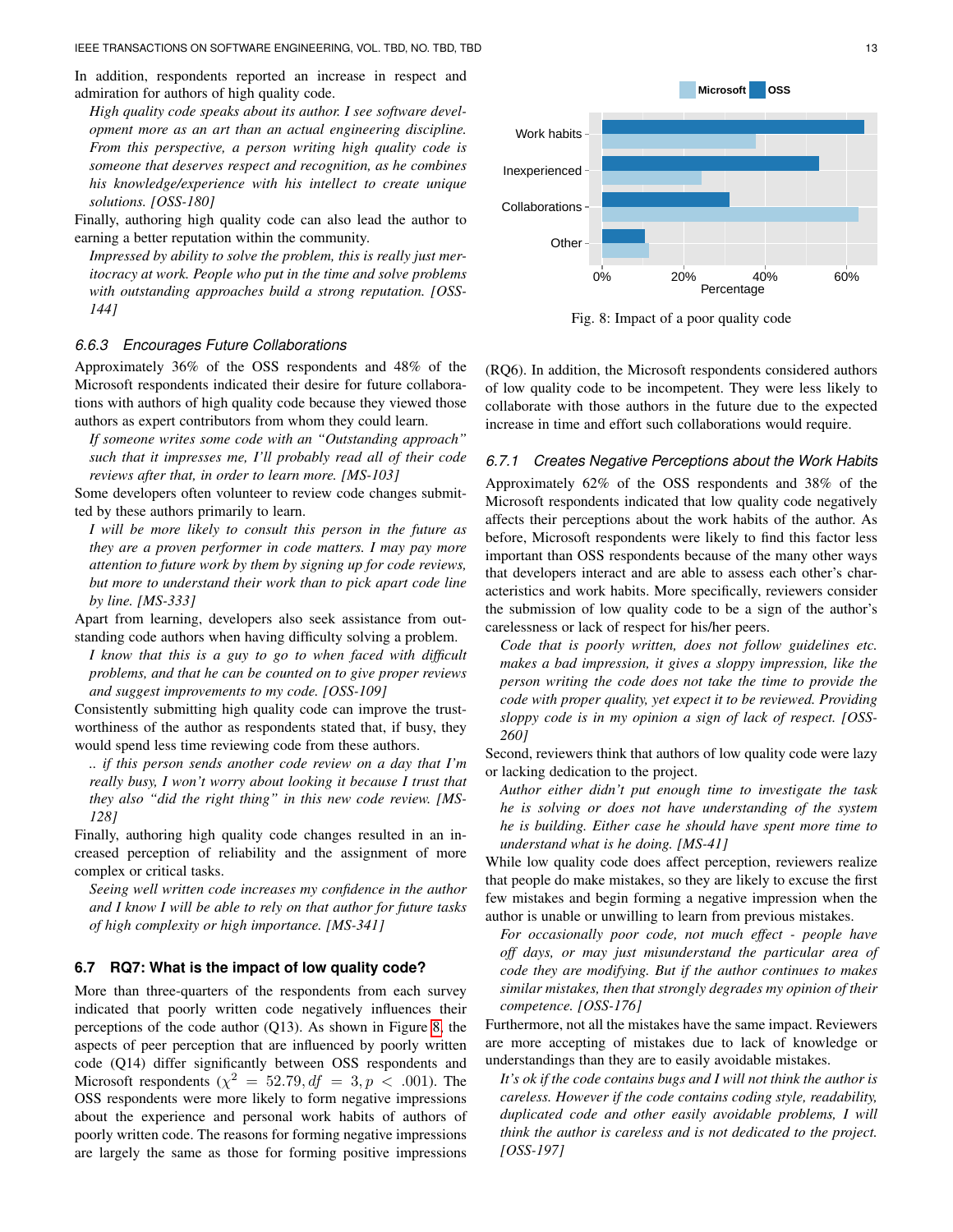In addition, respondents reported an increase in respect and admiration for authors of high quality code.

*High quality code speaks about its author. I see software development more as an art than an actual engineering discipline. From this perspective, a person writing high quality code is someone that deserves respect and recognition, as he combines his knowledge/experience with his intellect to create unique solutions. [OSS-180]*

Finally, authoring high quality code can also lead the author to earning a better reputation within the community.

*Impressed by ability to solve the problem, this is really just meritocracy at work. People who put in the time and solve problems with outstanding approaches build a strong reputation. [OSS-144]*

#### *6.6.3 Encourages Future Collaborations*

Approximately 36% of the OSS respondents and 48% of the Microsoft respondents indicated their desire for future collaborations with authors of high quality code because they viewed those authors as expert contributors from whom they could learn.

*If someone writes some code with an "Outstanding approach" such that it impresses me, I'll probably read all of their code reviews after that, in order to learn more. [MS-103]*

Some developers often volunteer to review code changes submitted by these authors primarily to learn.

*I will be more likely to consult this person in the future as they are a proven performer in code matters. I may pay more attention to future work by them by signing up for code reviews, but more to understand their work than to pick apart code line by line. [MS-333]*

Apart from learning, developers also seek assistance from outstanding code authors when having difficulty solving a problem.

*I know that this is a guy to go to when faced with difficult problems, and that he can be counted on to give proper reviews and suggest improvements to my code. [OSS-109]*

Consistently submitting high quality code can improve the trustworthiness of the author as respondents stated that, if busy, they would spend less time reviewing code from these authors.

*.. if this person sends another code review on a day that I'm really busy, I won't worry about looking it because I trust that they also "did the right thing" in this new code review. [MS-128]*

Finally, authoring high quality code changes resulted in an increased perception of reliability and the assignment of more complex or critical tasks.

*Seeing well written code increases my confidence in the author and I know I will be able to rely on that author for future tasks of high complexity or high importance. [MS-341]*

## **6.7 RQ7: What is the impact of low quality code?**

More than three-quarters of the respondents from each survey indicated that poorly written code negatively influences their perceptions of the code author (Q13). As shown in Figure [8,](#page-12-0) the aspects of peer perception that are influenced by poorly written code (Q14) differ significantly between OSS respondents and Microsoft respondents ( $\chi^2 = 52.79, df = 3, p < .001$ ). The OSS respondents were more likely to form negative impressions about the experience and personal work habits of authors of poorly written code. The reasons for forming negative impressions are the parameteristic method with the composition of the same of the same as the same as the same as the same as the same as the same as the same as the same as the same as the same as the same as the same as the same of

<span id="page-12-0"></span>

Fig. 8: Impact of a poor quality code

(RQ6). In addition, the Microsoft respondents considered authors of low quality code to be incompetent. They were less likely to collaborate with those authors in the future due to the expected increase in time and effort such collaborations would require.

#### *6.7.1 Creates Negative Perceptions about the Work Habits*

Approximately 62% of the OSS respondents and 38% of the Microsoft respondents indicated that low quality code negatively affects their perceptions about the work habits of the author. As before, Microsoft respondents were likely to find this factor less important than OSS respondents because of the many other ways that developers interact and are able to assess each other's characteristics and work habits. More specifically, reviewers consider the submission of low quality code to be a sign of the author's carelessness or lack of respect for his/her peers.

*Code that is poorly written, does not follow guidelines etc. makes a bad impression, it gives a sloppy impression, like the person writing the code does not take the time to provide the code with proper quality, yet expect it to be reviewed. Providing sloppy code is in my opinion a sign of lack of respect. [OSS-260]*

Second, reviewers think that authors of low quality code were lazy or lacking dedication to the project.

*Author either didn't put enough time to investigate the task he is solving or does not have understanding of the system he is building. Either case he should have spent more time to understand what is he doing. [MS-41]*

While low quality code does affect perception, reviewers realize that people do make mistakes, so they are likely to excuse the first few mistakes and begin forming a negative impression when the author is unable or unwilling to learn from previous mistakes.

*For occasionally poor code, not much effect - people have off days, or may just misunderstand the particular area of code they are modifying. But if the author continues to makes similar mistakes, then that strongly degrades my opinion of their competence. [OSS-176]*

Furthermore, not all the mistakes have the same impact. Reviewers are more accepting of mistakes due to lack of knowledge or understandings than they are to easily avoidable mistakes.

*It's ok if the code contains bugs and I will not think the author is careless. However if the code contains coding style, readability, duplicated code and other easily avoidable problems, I will think the author is careless and is not dedicated to the project. [OSS-197]*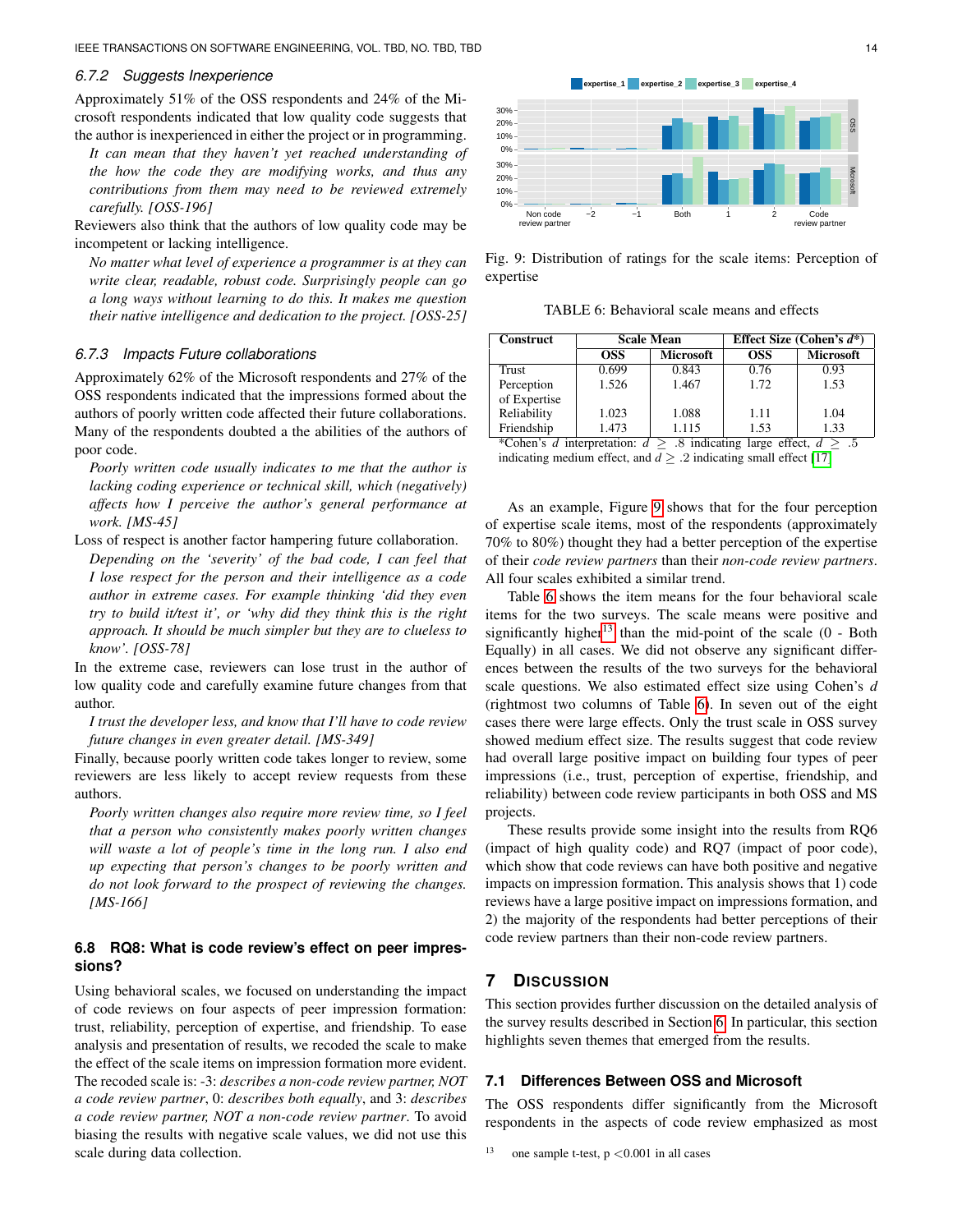#### *6.7.2 Suggests Inexperience*

Approximately 51% of the OSS respondents and 24% of the Microsoft respondents indicated that low quality code suggests that the author is inexperienced in either the project or in programming.

*It can mean that they haven't yet reached understanding of the how the code they are modifying works, and thus any contributions from them may need to be reviewed extremely carefully. [OSS-196]*

Reviewers also think that the authors of low quality code may be incompetent or lacking intelligence.

*No matter what level of experience a programmer is at they can write clear, readable, robust code. Surprisingly people can go a long ways without learning to do this. It makes me question their native intelligence and dedication to the project. [OSS-25]*

#### *6.7.3 Impacts Future collaborations*

Approximately 62% of the Microsoft respondents and 27% of the OSS respondents indicated that the impressions formed about the authors of poorly written code affected their future collaborations. Many of the respondents doubted a the abilities of the authors of poor code.

*Poorly written code usually indicates to me that the author is lacking coding experience or technical skill, which (negatively) affects how I perceive the author's general performance at work. [MS-45]*

Loss of respect is another factor hampering future collaboration.

*Depending on the 'severity' of the bad code, I can feel that I lose respect for the person and their intelligence as a code author in extreme cases. For example thinking 'did they even try to build it/test it', or 'why did they think this is the right approach. It should be much simpler but they are to clueless to know'. [OSS-78]*

In the extreme case, reviewers can lose trust in the author of low quality code and carefully examine future changes from that author.

*I trust the developer less, and know that I'll have to code review future changes in even greater detail. [MS-349]*

Finally, because poorly written code takes longer to review, some reviewers are less likely to accept review requests from these authors.

*Poorly written changes also require more review time, so I feel that a person who consistently makes poorly written changes will waste a lot of people's time in the long run. I also end up expecting that person's changes to be poorly written and do not look forward to the prospect of reviewing the changes. [MS-166]*

## **6.8 RQ8: What is code review's effect on peer impressions?**

Using behavioral scales, we focused on understanding the impact of code reviews on four aspects of peer impression formation: trust, reliability, perception of expertise, and friendship. To ease analysis and presentation of results, we recoded the scale to make the effect of the scale items on impression formation more evident. The recoded scale is: -3: *describes a non-code review partner, NOT a code review partner*, 0: *describes both equally*, and 3: *describes a code review partner, NOT a non-code review partner*. To avoid biasing the results with negative scale values, we did not use this scale during data collection.

<span id="page-13-1"></span>0% 10% 20% 30% 0% 10% 20% 30%  $^{\rm ss}$ Microsoft Non code review partner −2 −1 Both 1 2 Code

expertise\_1 expertise\_2 expertise\_3 expertise\_4

Fig. 9: Distribution of ratings for the scale items: Perception of expertise

TABLE 6: Behavioral scale means and effects

<span id="page-13-2"></span>

| <b>Construct</b>                                                  |       | <b>Scale Mean</b> | Effect Size (Cohen's $d^*$ ) |                  |  |  |
|-------------------------------------------------------------------|-------|-------------------|------------------------------|------------------|--|--|
|                                                                   | OSS   | <b>Microsoft</b>  | <b>OSS</b>                   | <b>Microsoft</b> |  |  |
| Trust                                                             | 0.699 | 0.843             | 0.76                         | 0.93             |  |  |
| Perception<br>of Expertise                                        | 1.526 | 1.467             | 1.72                         | 1.53             |  |  |
| Reliability                                                       | 1.023 | 1.088             | 1.11                         | 1.04             |  |  |
| Friendship                                                        | 1.473 | 1.115             | 1.53                         | 1.33             |  |  |
| *Cohen's d interpretation: $d >$<br>.8 indicating large effect, d |       |                   |                              |                  |  |  |

indicating medium effect, and  $d \geq 0.2$  indicating small effect [\[17\]](#page-17-41)

As an example, Figure [9](#page-13-1) shows that for the four perception of expertise scale items, most of the respondents (approximately 70% to 80%) thought they had a better perception of the expertise of their *code review partners* than their *non-code review partners*. All four scales exhibited a similar trend.

Table [6](#page-13-2) shows the item means for the four behavioral scale items for the two surveys. The scale means were positive and significantly higher<sup>[13](#page-13-3)</sup> than the mid-point of the scale  $(0 - Both)$ Equally) in all cases. We did not observe any significant differences between the results of the two surveys for the behavioral scale questions. We also estimated effect size using Cohen's *d* (rightmost two columns of Table [6\)](#page-13-2). In seven out of the eight cases there were large effects. Only the trust scale in OSS survey showed medium effect size. The results suggest that code review had overall large positive impact on building four types of peer impressions (i.e., trust, perception of expertise, friendship, and reliability) between code review participants in both OSS and MS projects.

These results provide some insight into the results from RQ6 (impact of high quality code) and RQ7 (impact of poor code), which show that code reviews can have both positive and negative impacts on impression formation. This analysis shows that 1) code reviews have a large positive impact on impressions formation, and 2) the majority of the respondents had better perceptions of their code review partners than their non-code review partners.

## <span id="page-13-0"></span>**7 DISCUSSION**

This section provides further discussion on the detailed analysis of the survey results described in Section [6.](#page-6-0) In particular, this section highlights seven themes that emerged from the results.

## <span id="page-13-4"></span>**7.1 Differences Between OSS and Microsoft**

The OSS respondents differ significantly from the Microsoft respondents in the aspects of code review emphasized as most

review partner

<span id="page-13-3"></span><sup>&</sup>lt;sup>13</sup> one sample t-test,  $p < 0.001$  in all cases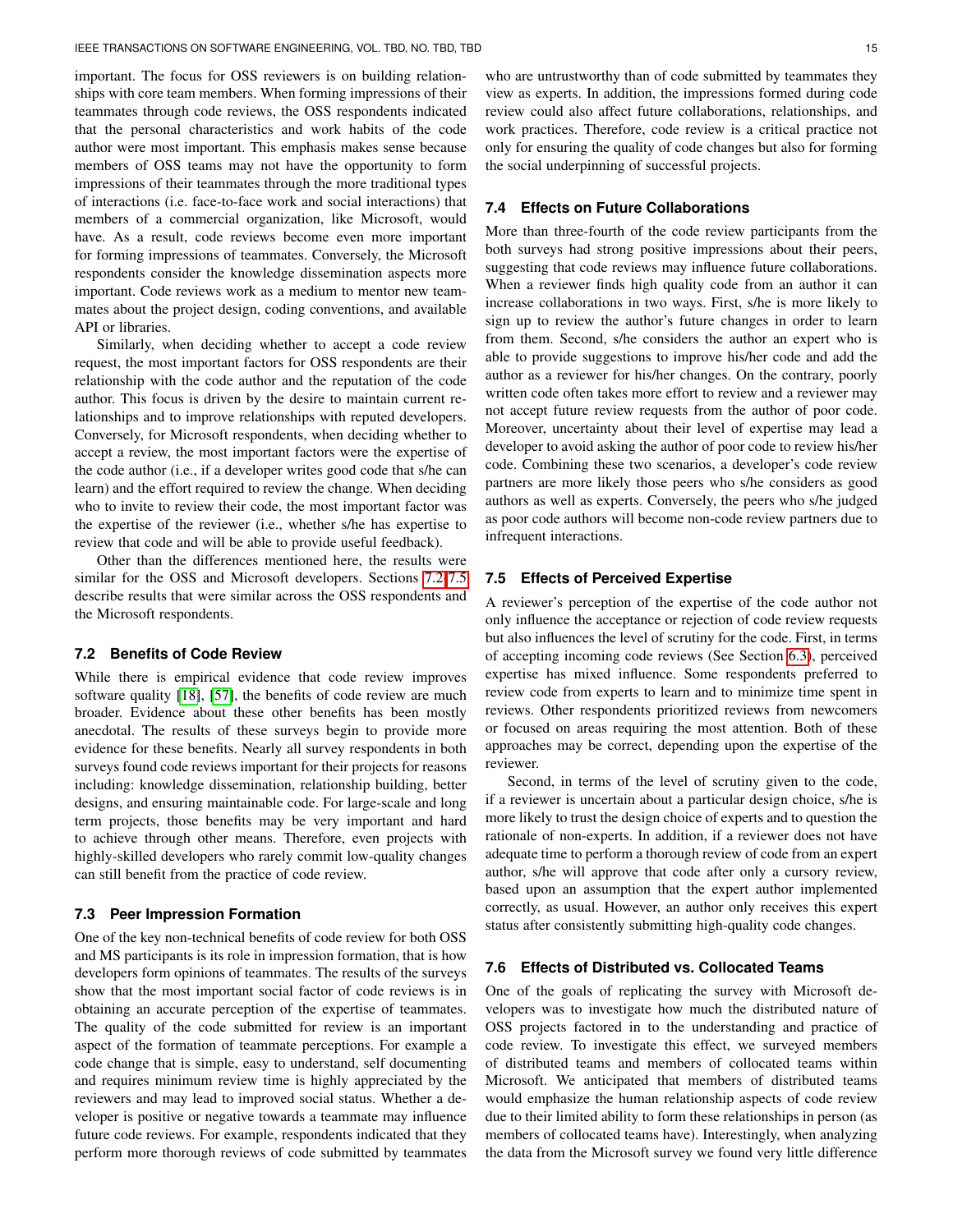important. The focus for OSS reviewers is on building relationships with core team members. When forming impressions of their teammates through code reviews, the OSS respondents indicated that the personal characteristics and work habits of the code author were most important. This emphasis makes sense because members of OSS teams may not have the opportunity to form impressions of their teammates through the more traditional types of interactions (i.e. face-to-face work and social interactions) that members of a commercial organization, like Microsoft, would have. As a result, code reviews become even more important for forming impressions of teammates. Conversely, the Microsoft respondents consider the knowledge dissemination aspects more important. Code reviews work as a medium to mentor new teammates about the project design, coding conventions, and available API or libraries.

Similarly, when deciding whether to accept a code review request, the most important factors for OSS respondents are their relationship with the code author and the reputation of the code author. This focus is driven by the desire to maintain current relationships and to improve relationships with reputed developers. Conversely, for Microsoft respondents, when deciding whether to accept a review, the most important factors were the expertise of the code author (i.e., if a developer writes good code that s/he can learn) and the effort required to review the change. When deciding who to invite to review their code, the most important factor was the expertise of the reviewer (i.e., whether s/he has expertise to review that code and will be able to provide useful feedback).

Other than the differences mentioned here, the results were similar for the OSS and Microsoft developers. Sections [7.2](#page-14-0)[-7.5](#page-14-1) describe results that were similar across the OSS respondents and the Microsoft respondents.

#### <span id="page-14-0"></span>**7.2 Benefits of Code Review**

While there is empirical evidence that code review improves software quality [\[18\]](#page-17-42), [\[57\]](#page-17-36), the benefits of code review are much broader. Evidence about these other benefits has been mostly anecdotal. The results of these surveys begin to provide more evidence for these benefits. Nearly all survey respondents in both surveys found code reviews important for their projects for reasons including: knowledge dissemination, relationship building, better designs, and ensuring maintainable code. For large-scale and long term projects, those benefits may be very important and hard to achieve through other means. Therefore, even projects with highly-skilled developers who rarely commit low-quality changes can still benefit from the practice of code review.

## **7.3 Peer Impression Formation**

One of the key non-technical benefits of code review for both OSS and MS participants is its role in impression formation, that is how developers form opinions of teammates. The results of the surveys show that the most important social factor of code reviews is in obtaining an accurate perception of the expertise of teammates. The quality of the code submitted for review is an important aspect of the formation of teammate perceptions. For example a code change that is simple, easy to understand, self documenting and requires minimum review time is highly appreciated by the reviewers and may lead to improved social status. Whether a developer is positive or negative towards a teammate may influence future code reviews. For example, respondents indicated that they perform more thorough reviews of code submitted by teammates who are untrustworthy than of code submitted by teammates they view as experts. In addition, the impressions formed during code review could also affect future collaborations, relationships, and work practices. Therefore, code review is a critical practice not only for ensuring the quality of code changes but also for forming the social underpinning of successful projects.

## **7.4 Effects on Future Collaborations**

More than three-fourth of the code review participants from the both surveys had strong positive impressions about their peers, suggesting that code reviews may influence future collaborations. When a reviewer finds high quality code from an author it can increase collaborations in two ways. First, s/he is more likely to sign up to review the author's future changes in order to learn from them. Second, s/he considers the author an expert who is able to provide suggestions to improve his/her code and add the author as a reviewer for his/her changes. On the contrary, poorly written code often takes more effort to review and a reviewer may not accept future review requests from the author of poor code. Moreover, uncertainty about their level of expertise may lead a developer to avoid asking the author of poor code to review his/her code. Combining these two scenarios, a developer's code review partners are more likely those peers who s/he considers as good authors as well as experts. Conversely, the peers who s/he judged as poor code authors will become non-code review partners due to infrequent interactions.

#### <span id="page-14-1"></span>**7.5 Effects of Perceived Expertise**

A reviewer's perception of the expertise of the code author not only influence the acceptance or rejection of code review requests but also influences the level of scrutiny for the code. First, in terms of accepting incoming code reviews (See Section [6.3\)](#page-8-2), perceived expertise has mixed influence. Some respondents preferred to review code from experts to learn and to minimize time spent in reviews. Other respondents prioritized reviews from newcomers or focused on areas requiring the most attention. Both of these approaches may be correct, depending upon the expertise of the reviewer.

Second, in terms of the level of scrutiny given to the code, if a reviewer is uncertain about a particular design choice, s/he is more likely to trust the design choice of experts and to question the rationale of non-experts. In addition, if a reviewer does not have adequate time to perform a thorough review of code from an expert author, s/he will approve that code after only a cursory review, based upon an assumption that the expert author implemented correctly, as usual. However, an author only receives this expert status after consistently submitting high-quality code changes.

## **7.6 Effects of Distributed vs. Collocated Teams**

One of the goals of replicating the survey with Microsoft developers was to investigate how much the distributed nature of OSS projects factored in to the understanding and practice of code review. To investigate this effect, we surveyed members of distributed teams and members of collocated teams within Microsoft. We anticipated that members of distributed teams would emphasize the human relationship aspects of code review due to their limited ability to form these relationships in person (as members of collocated teams have). Interestingly, when analyzing the data from the Microsoft survey we found very little difference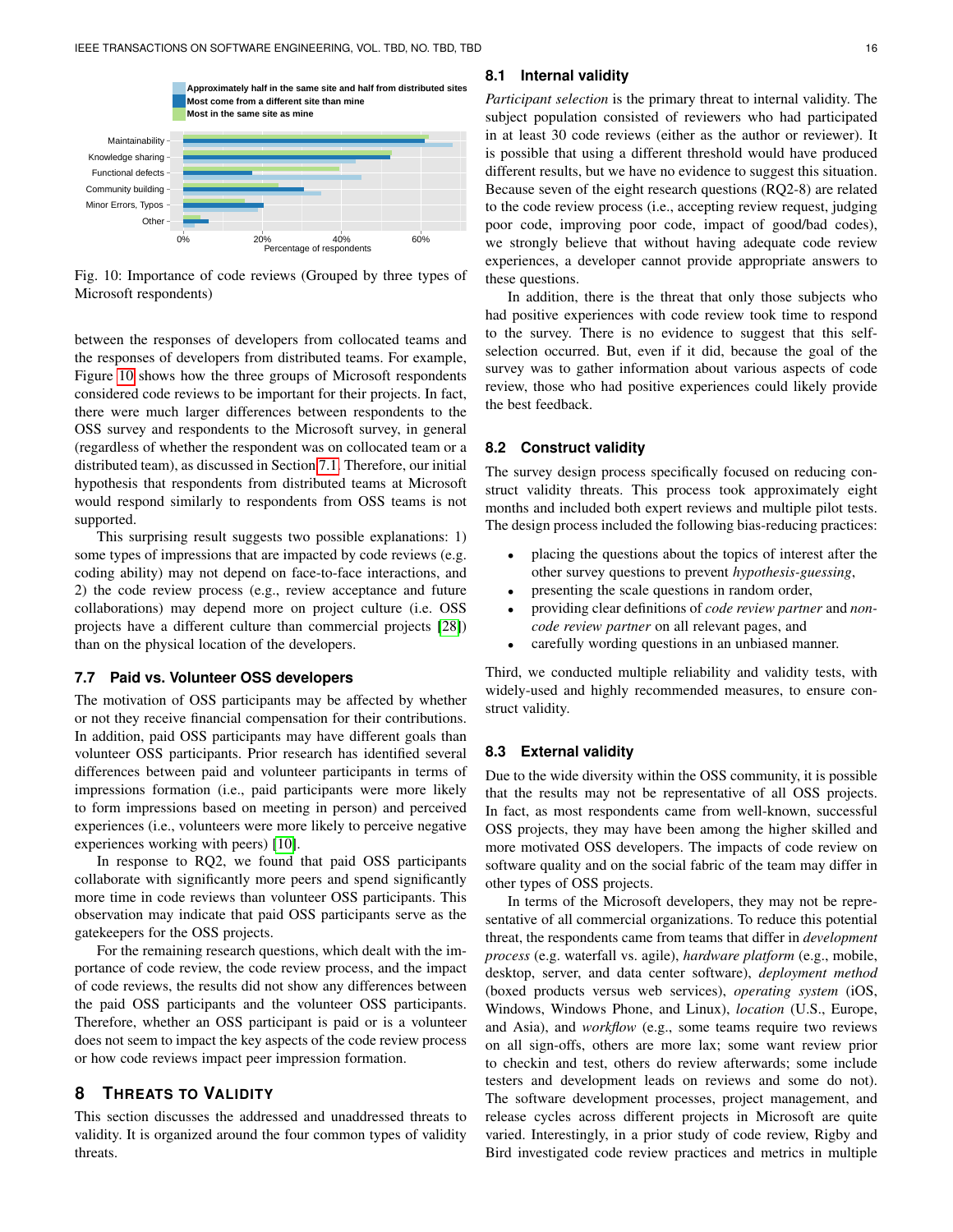<span id="page-15-1"></span>

Fig. 10: Importance of code reviews (Grouped by three types of Microsoft respondents)

between the responses of developers from collocated teams and the responses of developers from distributed teams. For example, Figure [10](#page-15-1) shows how the three groups of Microsoft respondents considered code reviews to be important for their projects. In fact, there were much larger differences between respondents to the OSS survey and respondents to the Microsoft survey, in general (regardless of whether the respondent was on collocated team or a distributed team), as discussed in Section [7.1.](#page-13-4) Therefore, our initial hypothesis that respondents from distributed teams at Microsoft would respond similarly to respondents from OSS teams is not supported.

This surprising result suggests two possible explanations: 1) some types of impressions that are impacted by code reviews (e.g. coding ability) may not depend on face-to-face interactions, and 2) the code review process (e.g., review acceptance and future collaborations) may depend more on project culture (i.e. OSS projects have a different culture than commercial projects [\[28\]](#page-17-43)) than on the physical location of the developers.

#### **7.7 Paid vs. Volunteer OSS developers**

The motivation of OSS participants may be affected by whether or not they receive financial compensation for their contributions. In addition, paid OSS participants may have different goals than volunteer OSS participants. Prior research has identified several differences between paid and volunteer participants in terms of impressions formation (i.e., paid participants were more likely to form impressions based on meeting in person) and perceived experiences (i.e., volunteers were more likely to perceive negative experiences working with peers) [\[10\]](#page-16-7).

In response to RQ2, we found that paid OSS participants collaborate with significantly more peers and spend significantly more time in code reviews than volunteer OSS participants. This observation may indicate that paid OSS participants serve as the gatekeepers for the OSS projects.

For the remaining research questions, which dealt with the importance of code review, the code review process, and the impact of code reviews, the results did not show any differences between the paid OSS participants and the volunteer OSS participants. Therefore, whether an OSS participant is paid or is a volunteer does not seem to impact the key aspects of the code review process or how code reviews impact peer impression formation.

# <span id="page-15-0"></span>**8 THREATS TO VALIDITY**

This section discusses the addressed and unaddressed threats to validity. It is organized around the four common types of validity threats.

#### **8.1 Internal validity**

*Participant selection* is the primary threat to internal validity. The subject population consisted of reviewers who had participated in at least 30 code reviews (either as the author or reviewer). It is possible that using a different threshold would have produced different results, but we have no evidence to suggest this situation. Because seven of the eight research questions (RQ2-8) are related to the code review process (i.e., accepting review request, judging poor code, improving poor code, impact of good/bad codes), we strongly believe that without having adequate code review experiences, a developer cannot provide appropriate answers to these questions.

In addition, there is the threat that only those subjects who had positive experiences with code review took time to respond to the survey. There is no evidence to suggest that this selfselection occurred. But, even if it did, because the goal of the survey was to gather information about various aspects of code review, those who had positive experiences could likely provide the best feedback.

## **8.2 Construct validity**

The survey design process specifically focused on reducing construct validity threats. This process took approximately eight months and included both expert reviews and multiple pilot tests. The design process included the following bias-reducing practices:

- placing the questions about the topics of interest after the other survey questions to prevent *hypothesis-guessing*,
- presenting the scale questions in random order,
- providing clear definitions of *code review partner* and *noncode review partner* on all relevant pages, and
- carefully wording questions in an unbiased manner.

Third, we conducted multiple reliability and validity tests, with widely-used and highly recommended measures, to ensure construct validity.

#### **8.3 External validity**

Due to the wide diversity within the OSS community, it is possible that the results may not be representative of all OSS projects. In fact, as most respondents came from well-known, successful OSS projects, they may have been among the higher skilled and more motivated OSS developers. The impacts of code review on software quality and on the social fabric of the team may differ in other types of OSS projects.

In terms of the Microsoft developers, they may not be representative of all commercial organizations. To reduce this potential threat, the respondents came from teams that differ in *development process* (e.g. waterfall vs. agile), *hardware platform* (e.g., mobile, desktop, server, and data center software), *deployment method* (boxed products versus web services), *operating system* (iOS, Windows, Windows Phone, and Linux), *location* (U.S., Europe, and Asia), and *workflow* (e.g., some teams require two reviews on all sign-offs, others are more lax; some want review prior to checkin and test, others do review afterwards; some include testers and development leads on reviews and some do not). The software development processes, project management, and release cycles across different projects in Microsoft are quite varied. Interestingly, in a prior study of code review, Rigby and Bird investigated code review practices and metrics in multiple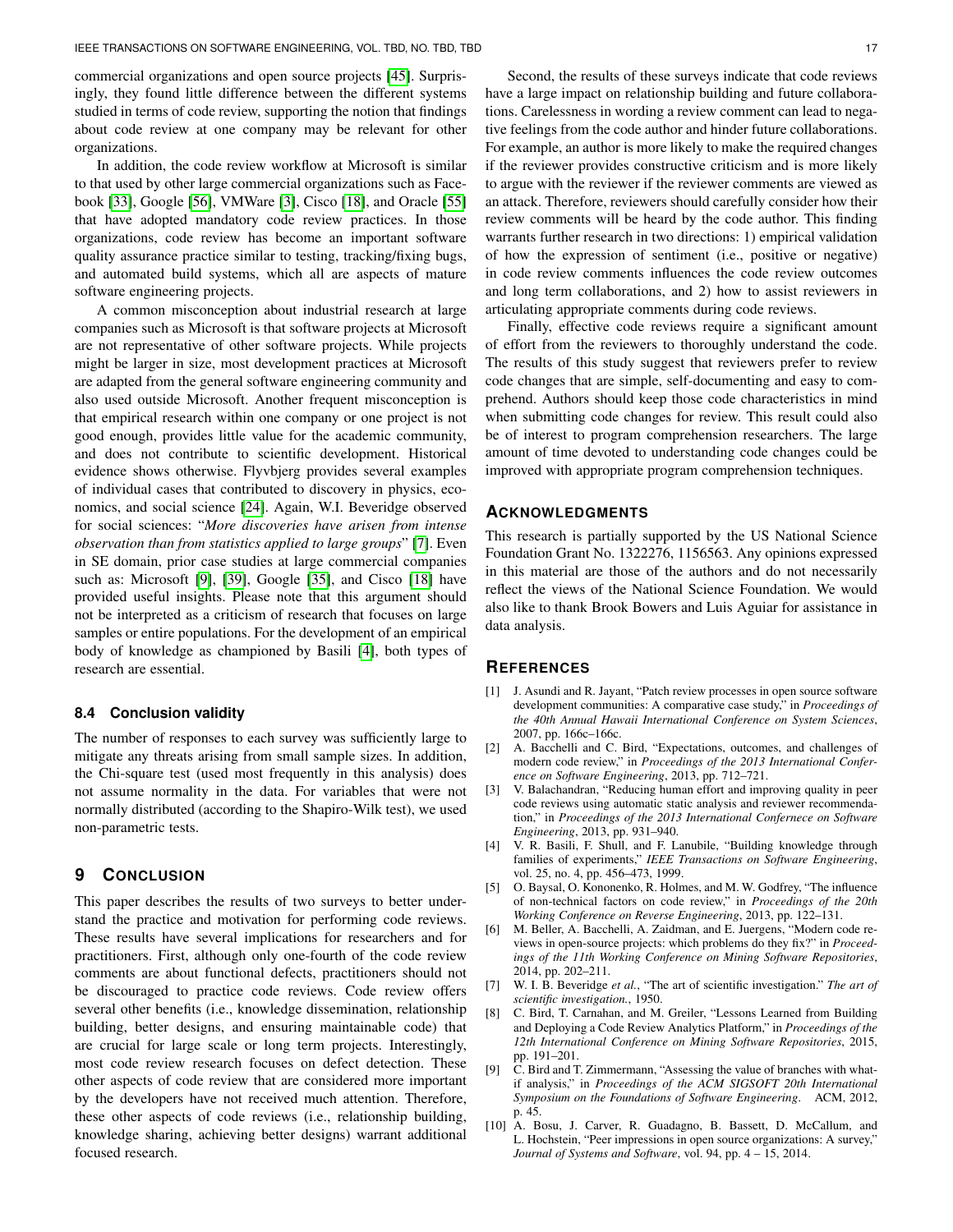commercial organizations and open source projects [\[45\]](#page-17-0). Surprisingly, they found little difference between the different systems studied in terms of code review, supporting the notion that findings about code review at one company may be relevant for other organizations.

In addition, the code review workflow at Microsoft is similar to that used by other large commercial organizations such as Facebook [\[33\]](#page-17-8), Google [\[56\]](#page-17-7), VMWare [\[3\]](#page-16-1), Cisco [\[18\]](#page-17-42), and Oracle [\[55\]](#page-17-44) that have adopted mandatory code review practices. In those organizations, code review has become an important software quality assurance practice similar to testing, tracking/fixing bugs, and automated build systems, which all are aspects of mature software engineering projects.

A common misconception about industrial research at large companies such as Microsoft is that software projects at Microsoft are not representative of other software projects. While projects might be larger in size, most development practices at Microsoft are adapted from the general software engineering community and also used outside Microsoft. Another frequent misconception is that empirical research within one company or one project is not good enough, provides little value for the academic community, and does not contribute to scientific development. Historical evidence shows otherwise. Flyvbjerg provides several examples of individual cases that contributed to discovery in physics, economics, and social science [\[24\]](#page-17-45). Again, W.I. Beveridge observed for social sciences: "*More discoveries have arisen from intense observation than from statistics applied to large groups*" [\[7\]](#page-16-8). Even in SE domain, prior case studies at large commercial companies such as: Microsoft [\[9\]](#page-16-9), [\[39\]](#page-17-46), Google [\[35\]](#page-17-47), and Cisco [\[18\]](#page-17-42) have provided useful insights. Please note that this argument should not be interpreted as a criticism of research that focuses on large samples or entire populations. For the development of an empirical body of knowledge as championed by Basili [\[4\]](#page-16-10), both types of research are essential.

#### **8.4 Conclusion validity**

The number of responses to each survey was sufficiently large to mitigate any threats arising from small sample sizes. In addition, the Chi-square test (used most frequently in this analysis) does not assume normality in the data. For variables that were not normally distributed (according to the Shapiro-Wilk test), we used non-parametric tests.

## <span id="page-16-2"></span>**9 CONCLUSION**

This paper describes the results of two surveys to better understand the practice and motivation for performing code reviews. These results have several implications for researchers and for practitioners. First, although only one-fourth of the code review comments are about functional defects, practitioners should not be discouraged to practice code reviews. Code review offers several other benefits (i.e., knowledge dissemination, relationship building, better designs, and ensuring maintainable code) that are crucial for large scale or long term projects. Interestingly, most code review research focuses on defect detection. These other aspects of code review that are considered more important by the developers have not received much attention. Therefore, these other aspects of code reviews (i.e., relationship building, knowledge sharing, achieving better designs) warrant additional focused research.

Second, the results of these surveys indicate that code reviews have a large impact on relationship building and future collaborations. Carelessness in wording a review comment can lead to negative feelings from the code author and hinder future collaborations. For example, an author is more likely to make the required changes if the reviewer provides constructive criticism and is more likely to argue with the reviewer if the reviewer comments are viewed as an attack. Therefore, reviewers should carefully consider how their review comments will be heard by the code author. This finding warrants further research in two directions: 1) empirical validation of how the expression of sentiment (i.e., positive or negative) in code review comments influences the code review outcomes and long term collaborations, and 2) how to assist reviewers in articulating appropriate comments during code reviews.

Finally, effective code reviews require a significant amount of effort from the reviewers to thoroughly understand the code. The results of this study suggest that reviewers prefer to review code changes that are simple, self-documenting and easy to comprehend. Authors should keep those code characteristics in mind when submitting code changes for review. This result could also be of interest to program comprehension researchers. The large amount of time devoted to understanding code changes could be improved with appropriate program comprehension techniques.

## **ACKNOWLEDGMENTS**

This research is partially supported by the US National Science Foundation Grant No. 1322276, 1156563. Any opinions expressed in this material are those of the authors and do not necessarily reflect the views of the National Science Foundation. We would also like to thank Brook Bowers and Luis Aguiar for assistance in data analysis.

## **REFERENCES**

- <span id="page-16-3"></span>[1] J. Asundi and R. Jayant, "Patch review processes in open source software development communities: A comparative case study," in *Proceedings of the 40th Annual Hawaii International Conference on System Sciences*, 2007, pp. 166c–166c.
- <span id="page-16-0"></span>[2] A. Bacchelli and C. Bird, "Expectations, outcomes, and challenges of modern code review," in *Proceedings of the 2013 International Conference on Software Engineering*, 2013, pp. 712–721.
- <span id="page-16-1"></span>[3] V. Balachandran, "Reducing human effort and improving quality in peer code reviews using automatic static analysis and reviewer recommendation," in *Proceedings of the 2013 International Confernece on Software Engineering*, 2013, pp. 931–940.
- <span id="page-16-10"></span>[4] V. R. Basili, F. Shull, and F. Lanubile, "Building knowledge through families of experiments," *IEEE Transactions on Software Engineering*, vol. 25, no. 4, pp. 456–473, 1999.
- <span id="page-16-4"></span>[5] O. Baysal, O. Kononenko, R. Holmes, and M. W. Godfrey, "The influence of non-technical factors on code review," in *Proceedings of the 20th Working Conference on Reverse Engineering*, 2013, pp. 122–131.
- <span id="page-16-5"></span>[6] M. Beller, A. Bacchelli, A. Zaidman, and E. Juergens, "Modern code reviews in open-source projects: which problems do they fix?" in *Proceedings of the 11th Working Conference on Mining Software Repositories*, 2014, pp. 202–211.
- <span id="page-16-8"></span>[7] W. I. B. Beveridge *et al.*, "The art of scientific investigation." *The art of scientific investigation.*, 1950.
- <span id="page-16-6"></span>[8] C. Bird, T. Carnahan, and M. Greiler, "Lessons Learned from Building and Deploying a Code Review Analytics Platform," in *Proceedings of the 12th International Conference on Mining Software Repositories*, 2015, pp. 191–201.
- <span id="page-16-9"></span>[9] C. Bird and T. Zimmermann, "Assessing the value of branches with whatif analysis," in *Proceedings of the ACM SIGSOFT 20th International Symposium on the Foundations of Software Engineering*. ACM, 2012, p. 45.
- <span id="page-16-7"></span>[10] A. Bosu, J. Carver, R. Guadagno, B. Bassett, D. McCallum, and L. Hochstein, "Peer impressions in open source organizations: A survey," *Journal of Systems and Software*, vol. 94, pp. 4 – 15, 2014.